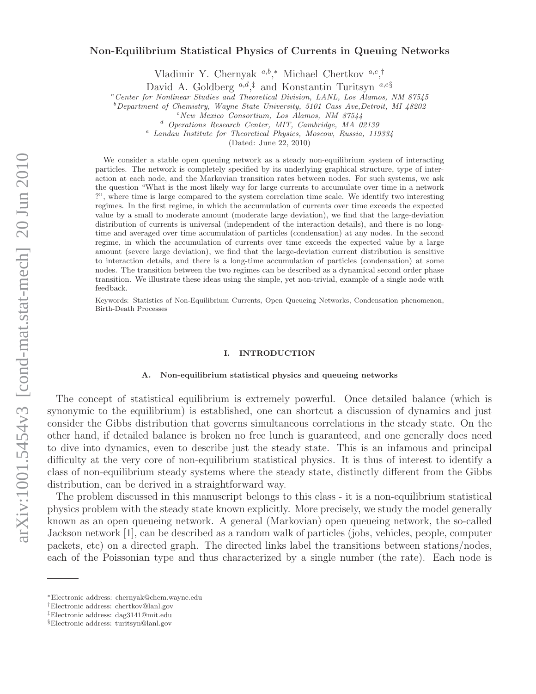# **Non-Equilibrium Statistical Physics of Currents in Queuing Networks**

Vladimir Y. Chernyak  $a,b,*$  Michael Chertkov  $a,c,$ †

David A. Goldberg  $a,d,^{\ddagger}$  and Konstantin Turitsyn  $a,e\S$ 

<sup>a</sup>Center for Nonlinear Studies and Theoretical Division, LANL, Los Alamos, NM 87545

<sup>b</sup>Department of Chemistry, Wayne State University, 5101 Cass Ave, Detroit, MI 48202

 $\begin{array}{cccc} c\textit{New Mexico Consortium, Los Alamos, NM 87544}\\ d\textit{Operations Research Center, MIT, Cambridge, MA 02139}\\ e\textit{ Landau Institute for Theoretical Physics, Moscow, Russia, 119334}\\ \end{array}$ 

(Dated: June 22, 2010)

We consider a stable open queuing network as a steady non-equilibrium system of interacting particles. The network is completely specified by its underlying graphical structure, type of interaction at each node, and the Markovian transition rates between nodes. For such systems, we ask the question "What is the most likely way for large currents to accumulate over time in a network ?", where time is large compared to the system correlation time scale. We identify two interesting regimes. In the first regime, in which the accumulation of currents over time exceeds the expected value by a small to moderate amount (moderate large deviation), we find that the large-deviation distribution of currents is universal (independent of the interaction details), and there is no longtime and averaged over time accumulation of particles (condensation) at any nodes. In the second regime, in which the accumulation of currents over time exceeds the expected value by a large amount (severe large deviation), we find that the large-deviation current distribution is sensitive to interaction details, and there is a long-time accumulation of particles (condensation) at some nodes. The transition between the two regimes can be described as a dynamical second order phase transition. We illustrate these ideas using the simple, yet non-trivial, example of a single node with feedback.

Keywords: Statistics of Non-Equilibrium Currents, Open Queueing Networks, Condensation phenomenon, Birth-Death Processes

### **I. INTRODUCTION**

#### **A. Non-equilibrium statistical physics and queueing networks**

The concept of statistical equilibrium is extremely powerful. Once detailed balance (which is synonymic to the equilibrium) is established, one can shortcut a discussion of dynamics and just consider the Gibbs distribution that governs simultaneous correlations in the steady state. On the other hand, if detailed balance is broken no free lunch is guaranteed, and one generally does need to dive into dynamics, even to describe just the steady state. This is an infamous and principal difficulty at the very core of non-equilibrium statistical physics. It is thus of interest to identify a class of non-equilibrium steady systems where the steady state, distinctly different from the Gibbs distribution, can be derived in a straightforward way.

The problem discussed in this manuscript belongs to this class - it is a non-equilibrium statistical physics problem with the steady state known explicitly. More precisely, we study the model generally known as an open queueing network. A general (Markovian) open queueing network, the so-called Jackson network [1], can be described as a random walk of particles (jobs, vehicles, people, computer packets, etc) on a directed graph. The directed links label the transitions between stations/nodes, each of the Poissonian type and thus characterized by a single number (the rate). Each node is

<sup>∗</sup>Electronic address: chernyak@chem.wayne.edu

<sup>†</sup>Electronic address: chertkov@lanl.gov

<sup>‡</sup>Electronic address: dag3141@mit.edu

<sup>§</sup>Electronic address: turitsyn@lanl.gov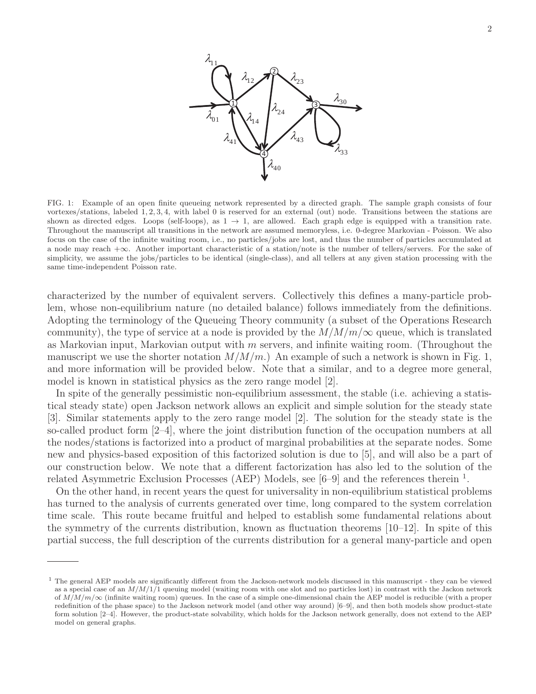

FIG. 1: Example of an open finite queueing network represented by a directed graph. The sample graph consists of four vortexes/stations, labeled 1, 2, 3, 4, with label 0 is reserved for an external (out) node. Transitions between the stations are shown as directed edges. Loops (self-loops), as  $1 \rightarrow 1$ , are allowed. Each graph edge is equipped with a transition rate. Throughout the manuscript all transitions in the network are assumed memoryless, i.e. 0-degree Markovian - Poisson. We also focus on the case of the infinite waiting room, i.e., no particles/jobs are lost, and thus the number of particles accumulated at a node may reach +∞. Another important characteristic of a station/note is the number of tellers/servers. For the sake of simplicity, we assume the jobs/particles to be identical (single-class), and all tellers at any given station processing with the same time-independent Poisson rate.

characterized by the number of equivalent servers. Collectively this defines a many-particle problem, whose non-equilibrium nature (no detailed balance) follows immediately from the definitions. Adopting the terminology of the Queueing Theory community (a subset of the Operations Research community), the type of service at a node is provided by the  $M/M/m/\infty$  queue, which is translated as Markovian input, Markovian output with  $m$  servers, and infinite waiting room. (Throughout the manuscript we use the shorter notation  $M/M/m$ .) An example of such a network is shown in Fig. 1, and more information will be provided below. Note that a similar, and to a degree more general, model is known in statistical physics as the zero range model [2].

In spite of the generally pessimistic non-equilibrium assessment, the stable (i.e. achieving a statistical steady state) open Jackson network allows an explicit and simple solution for the steady state [3]. Similar statements apply to the zero range model [2]. The solution for the steady state is the so-called product form [2–4], where the joint distribution function of the occupation numbers at all the nodes/stations is factorized into a product of marginal probabilities at the separate nodes. Some new and physics-based exposition of this factorized solution is due to [5], and will also be a part of our construction below. We note that a different factorization has also led to the solution of the related Asymmetric Exclusion Processes (AEP) Models, see [6–9] and the references therein <sup>1</sup>.

On the other hand, in recent years the quest for universality in non-equilibrium statistical problems has turned to the analysis of currents generated over time, long compared to the system correlation time scale. This route became fruitful and helped to establish some fundamental relations about the symmetry of the currents distribution, known as fluctuation theorems [10–12]. In spite of this partial success, the full description of the currents distribution for a general many-particle and open

<sup>&</sup>lt;sup>1</sup> The general AEP models are significantly different from the Jackson-network models discussed in this manuscript - they can be viewed as a special case of an  $M/M/1/1$  queuing model (waiting room with one slot and no particles lost) in contrast with the Jackon network of  $M/M/m/\infty$  (infinite waiting room) queues. In the case of a simple one-dimensional chain the AEP model is reducible (with a proper redefinition of the phase space) to the Jackson network model (and other way around) [6–9], and then both models show product-state form solution [2–4]. However, the product-state solvability, which holds for the Jackson network generally, does not extend to the AEP model on general graphs.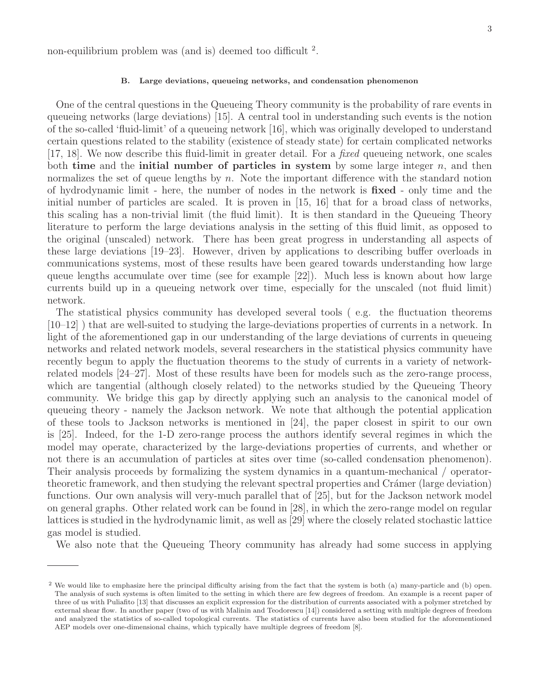## **B. Large deviations, queueing networks, and condensation phenomenon**

One of the central questions in the Queueing Theory community is the probability of rare events in queueing networks (large deviations) [15]. A central tool in understanding such events is the notion of the so-called 'fluid-limit' of a queueing network [16], which was originally developed to understand certain questions related to the stability (existence of steady state) for certain complicated networks [17, 18]. We now describe this fluid-limit in greater detail. For a fixed queueing network, one scales both **time** and the **initial number of particles in system** by some large integer n, and then normalizes the set of queue lengths by  $n$ . Note the important difference with the standard notion of hydrodynamic limit - here, the number of nodes in the network is **fixed** - only time and the initial number of particles are scaled. It is proven in [15, 16] that for a broad class of networks, this scaling has a non-trivial limit (the fluid limit). It is then standard in the Queueing Theory literature to perform the large deviations analysis in the setting of this fluid limit, as opposed to the original (unscaled) network. There has been great progress in understanding all aspects of these large deviations [19–23]. However, driven by applications to describing buffer overloads in communications systems, most of these results have been geared towards understanding how large queue lengths accumulate over time (see for example [22]). Much less is known about how large currents build up in a queueing network over time, especially for the unscaled (not fluid limit) network.

The statistical physics community has developed several tools ( e.g. the fluctuation theorems [10–12] ) that are well-suited to studying the large-deviations properties of currents in a network. In light of the aforementioned gap in our understanding of the large deviations of currents in queueing networks and related network models, several researchers in the statistical physics community have recently begun to apply the fluctuation theorems to the study of currents in a variety of networkrelated models [24–27]. Most of these results have been for models such as the zero-range process, which are tangential (although closely related) to the networks studied by the Queueing Theory community. We bridge this gap by directly applying such an analysis to the canonical model of queueing theory - namely the Jackson network. We note that although the potential application of these tools to Jackson networks is mentioned in [24], the paper closest in spirit to our own is [25]. Indeed, for the 1-D zero-range process the authors identify several regimes in which the model may operate, characterized by the large-deviations properties of currents, and whether or not there is an accumulation of particles at sites over time (so-called condensation phenomenon). Their analysis proceeds by formalizing the system dynamics in a quantum-mechanical / operatortheoretic framework, and then studying the relevant spectral properties and Crámer (large deviation) functions. Our own analysis will very-much parallel that of [25], but for the Jackson network model on general graphs. Other related work can be found in [28], in which the zero-range model on regular lattices is studied in the hydrodynamic limit, as well as [29] where the closely related stochastic lattice gas model is studied.

We also note that the Queueing Theory community has already had some success in applying

<sup>2</sup> We would like to emphasize here the principal difficulty arising from the fact that the system is both (a) many-particle and (b) open. The analysis of such systems is often limited to the setting in which there are few degrees of freedom. An example is a recent paper of three of us with Puliafito [13] that discusses an explicit expression for the distribution of currents associated with a polymer stretched by external shear flow. In another paper (two of us with Malinin and Teodorescu [14]) considered a setting with multiple degrees of freedom and analyzed the statistics of so-called topological currents. The statistics of currents have also been studied for the aforementioned AEP models over one-dimensional chains, which typically have multiple degrees of freedom [8].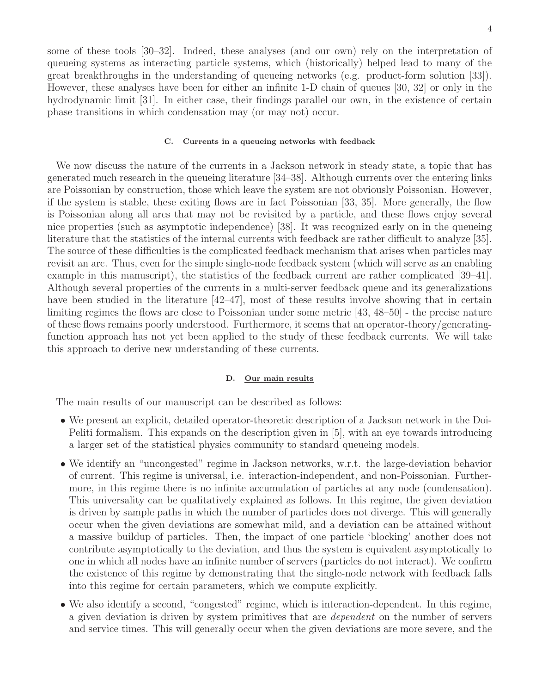some of these tools [30–32]. Indeed, these analyses (and our own) rely on the interpretation of queueing systems as interacting particle systems, which (historically) helped lead to many of the great breakthroughs in the understanding of queueing networks (e.g. product-form solution [33]). However, these analyses have been for either an infinite 1-D chain of queues [30, 32] or only in the hydrodynamic limit [31]. In either case, their findings parallel our own, in the existence of certain phase transitions in which condensation may (or may not) occur.

# **C. Currents in a queueing networks with feedback**

We now discuss the nature of the currents in a Jackson network in steady state, a topic that has generated much research in the queueing literature [34–38]. Although currents over the entering links are Poissonian by construction, those which leave the system are not obviously Poissonian. However, if the system is stable, these exiting flows are in fact Poissonian [33, 35]. More generally, the flow is Poissonian along all arcs that may not be revisited by a particle, and these flows enjoy several nice properties (such as asymptotic independence) [38]. It was recognized early on in the queueing literature that the statistics of the internal currents with feedback are rather difficult to analyze [35]. The source of these difficulties is the complicated feedback mechanism that arises when particles may revisit an arc. Thus, even for the simple single-node feedback system (which will serve as an enabling example in this manuscript), the statistics of the feedback current are rather complicated [39–41]. Although several properties of the currents in a multi-server feedback queue and its generalizations have been studied in the literature  $(42-47)$ , most of these results involve showing that in certain limiting regimes the flows are close to Poissonian under some metric [43, 48–50] - the precise nature of these flows remains poorly understood. Furthermore, it seems that an operator-theory/generatingfunction approach has not yet been applied to the study of these feedback currents. We will take this approach to derive new understanding of these currents.

## **D. Our main results**

The main results of our manuscript can be described as follows:

- We present an explicit, detailed operator-theoretic description of a Jackson network in the Doi-Peliti formalism. This expands on the description given in [5], with an eye towards introducing a larger set of the statistical physics community to standard queueing models.
- We identify an "uncongested" regime in Jackson networks, w.r.t. the large-deviation behavior of current. This regime is universal, i.e. interaction-independent, and non-Poissonian. Furthermore, in this regime there is no infinite accumulation of particles at any node (condensation). This universality can be qualitatively explained as follows. In this regime, the given deviation is driven by sample paths in which the number of particles does not diverge. This will generally occur when the given deviations are somewhat mild, and a deviation can be attained without a massive buildup of particles. Then, the impact of one particle 'blocking' another does not contribute asymptotically to the deviation, and thus the system is equivalent asymptotically to one in which all nodes have an infinite number of servers (particles do not interact). We confirm the existence of this regime by demonstrating that the single-node network with feedback falls into this regime for certain parameters, which we compute explicitly.
- We also identify a second, "congested" regime, which is interaction-dependent. In this regime, a given deviation is driven by system primitives that are dependent on the number of servers and service times. This will generally occur when the given deviations are more severe, and the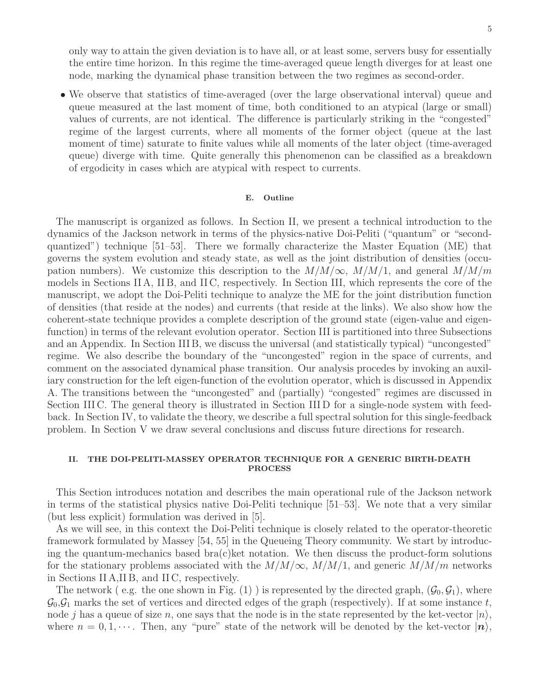only way to attain the given deviation is to have all, or at least some, servers busy for essentially the entire time horizon. In this regime the time-averaged queue length diverges for at least one node, marking the dynamical phase transition between the two regimes as second-order.

• We observe that statistics of time-averaged (over the large observational interval) queue and queue measured at the last moment of time, both conditioned to an atypical (large or small) values of currents, are not identical. The difference is particularly striking in the "congested" regime of the largest currents, where all moments of the former object (queue at the last moment of time) saturate to finite values while all moments of the later object (time-averaged queue) diverge with time. Quite generally this phenomenon can be classified as a breakdown of ergodicity in cases which are atypical with respect to currents.

# **E. Outline**

The manuscript is organized as follows. In Section II, we present a technical introduction to the dynamics of the Jackson network in terms of the physics-native Doi-Peliti ("quantum" or "secondquantized") technique [51–53]. There we formally characterize the Master Equation (ME) that governs the system evolution and steady state, as well as the joint distribution of densities (occupation numbers). We customize this description to the  $M/M/\infty$ ,  $M/M/1$ , and general  $M/M/m$ models in Sections II A, II B, and II C, respectively. In Section III, which represents the core of the manuscript, we adopt the Doi-Peliti technique to analyze the ME for the joint distribution function of densities (that reside at the nodes) and currents (that reside at the links). We also show how the coherent-state technique provides a complete description of the ground state (eigen-value and eigenfunction) in terms of the relevant evolution operator. Section III is partitioned into three Subsections and an Appendix. In Section III B, we discuss the universal (and statistically typical) "uncongested" regime. We also describe the boundary of the "uncongested" region in the space of currents, and comment on the associated dynamical phase transition. Our analysis procedes by invoking an auxiliary construction for the left eigen-function of the evolution operator, which is discussed in Appendix A. The transitions between the "uncongested" and (partially) "congested" regimes are discussed in Section III C. The general theory is illustrated in Section III D for a single-node system with feedback. In Section IV, to validate the theory, we describe a full spectral solution for this single-feedback problem. In Section V we draw several conclusions and discuss future directions for research.

# **II. THE DOI-PELITI-MASSEY OPERATOR TECHNIQUE FOR A GENERIC BIRTH-DEATH PROCESS**

This Section introduces notation and describes the main operational rule of the Jackson network in terms of the statistical physics native Doi-Peliti technique [51–53]. We note that a very similar (but less explicit) formulation was derived in [5].

As we will see, in this context the Doi-Peliti technique is closely related to the operator-theoretic framework formulated by Massey [54, 55] in the Queueing Theory community. We start by introducing the quantum-mechanics based bra(c)ket notation. We then discuss the product-form solutions for the stationary problems associated with the  $M/M/\infty$ ,  $M/M/1$ , and generic  $M/M/m$  networks in Sections II A,II B, and II C, respectively.

The network (e.g. the one shown in Fig. (1)) is represented by the directed graph,  $(\mathcal{G}_0, \mathcal{G}_1)$ , where  $\mathcal{G}_0$ ,  $\mathcal{G}_1$  marks the set of vertices and directed edges of the graph (respectively). If at some instance t, node j has a queue of size n, one says that the node is in the state represented by the ket-vector  $|n\rangle$ , where  $n = 0, 1, \cdots$ . Then, any "pure" state of the network will be denoted by the ket-vector  $|\boldsymbol{n}\rangle$ ,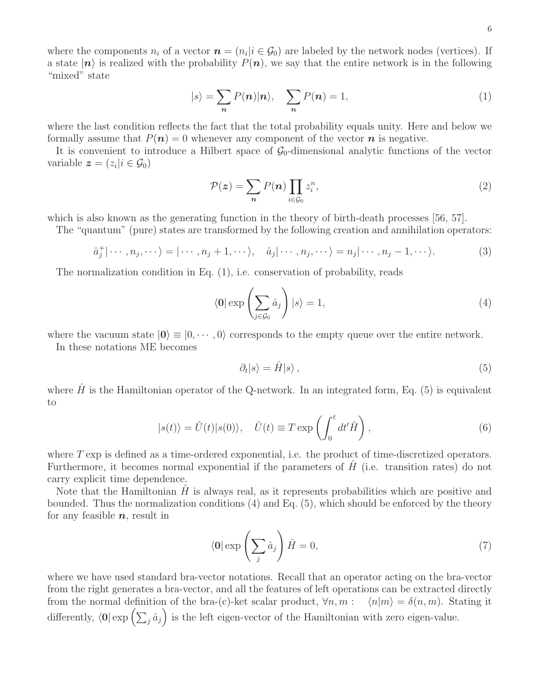where the components  $n_i$  of a vector  $\mathbf{n} = (n_i | i \in \mathcal{G}_0)$  are labeled by the network nodes (vertices). If a state  $|n\rangle$  is realized with the probability  $P(n)$ , we say that the entire network is in the following "mixed" state

$$
|s\rangle = \sum_{n} P(n)|n\rangle, \quad \sum_{n} P(n) = 1,\tag{1}
$$

where the last condition reflects the fact that the total probability equals unity. Here and below we formally assume that  $P(n) = 0$  whenever any component of the vector *n* is negative.

It is convenient to introduce a Hilbert space of  $\mathcal{G}_0$ -dimensional analytic functions of the vector variable  $\boldsymbol{z} = (z_i|i \in \mathcal{G}_0)$ 

$$
\mathcal{P}(\boldsymbol{z}) = \sum_{\boldsymbol{n}} P(\boldsymbol{n}) \prod_{i \in \mathcal{G}_0} z_i^n, \tag{2}
$$

which is also known as the generating function in the theory of birth-death processes [56, 57].

The "quantum" (pure) states are transformed by the following creation and annihilation operators:

$$
\hat{a}_j^+|\cdots, n_j, \cdots\rangle = |\cdots, n_j + 1, \cdots\rangle, \quad \hat{a}_j|\cdots, n_j, \cdots\rangle = n_j|\cdots, n_j - 1, \cdots\rangle. \tag{3}
$$

The normalization condition in Eq. (1), i.e. conservation of probability, reads

$$
\langle \mathbf{0} | \exp \left( \sum_{j \in \mathcal{G}_0} \hat{a}_j \right) | s \rangle = 1,\tag{4}
$$

where the vacuum state  $|0\rangle \equiv |0, \cdots, 0\rangle$  corresponds to the empty queue over the entire network.

In these notations ME becomes

$$
\partial_t |s\rangle = \hat{H}|s\rangle \,,\tag{5}
$$

where  $\hat{H}$  is the Hamiltonian operator of the Q-network. In an integrated form, Eq. (5) is equivalent to

$$
|s(t)\rangle = \hat{U}(t)|s(0)\rangle, \quad \hat{U}(t) \equiv T \exp\left(\int_0^t dt' \hat{H}\right), \tag{6}
$$

where T exp is defined as a time-ordered exponential, i.e. the product of time-discretized operators. Furthermore, it becomes normal exponential if the parameters of  $H$  (i.e. transition rates) do not carry explicit time dependence.

Note that the Hamiltonian  $H$  is always real, as it represents probabilities which are positive and bounded. Thus the normalization conditions (4) and Eq. (5), which should be enforced by the theory for any feasible *n*, result in

$$
\langle \mathbf{0} | \exp \left( \sum_{j} \hat{a}_{j} \right) \hat{H} = 0, \tag{7}
$$

where we have used standard bra-vector notations. Recall that an operator acting on the bra-vector from the right generates a bra-vector, and all the features of left operations can be extracted directly from the normal definition of the bra-(c)-ket scalar product,  $\forall n, m$  :  $\langle n|m \rangle = \delta(n, m)$ . Stating it differently,  $\langle 0 | \exp \left( \sum_j \hat{a}_j \right)$  is the left eigen-vector of the Hamiltonian with zero eigen-value.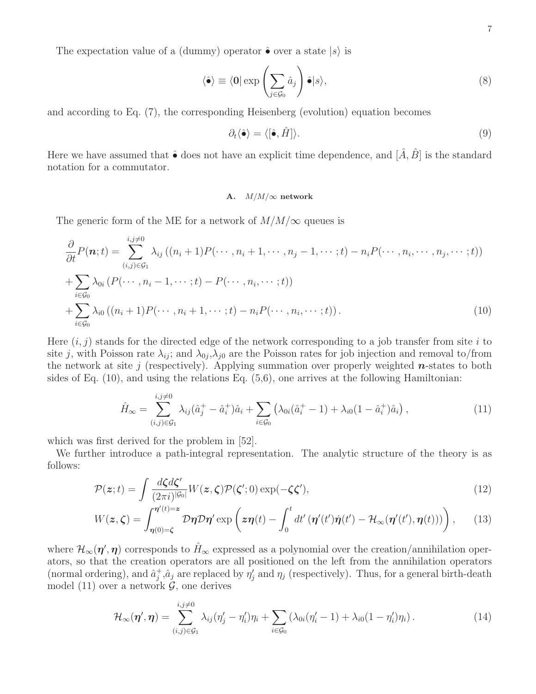The expectation value of a (dummy) operator  $\hat{\bullet}$  over a state  $|s\rangle$  is

$$
\langle \hat{\bullet} \rangle \equiv \langle \mathbf{0} | \exp \left( \sum_{j \in \mathcal{G}_0} \hat{a}_j \right) \hat{\bullet} | s \rangle, \tag{8}
$$

and according to Eq. (7), the corresponding Heisenberg (evolution) equation becomes

$$
\partial_t \langle \hat{\bullet} \rangle = \langle [\hat{\bullet}, \hat{H}] \rangle. \tag{9}
$$

Here we have assumed that  $\hat{\bullet}$  does not have an explicit time dependence, and  $[\hat{A}, \hat{B}]$  is the standard notation for a commutator.

# **A.** M/M/∞ **network**

The generic form of the ME for a network of  $M/M/\infty$  queues is

$$
\frac{\partial}{\partial t}P(\boldsymbol{n};t) = \sum_{(i,j)\in\mathcal{G}_1}^{i,j\neq 0} \lambda_{ij} ((n_i+1)P(\cdots, n_i+1,\cdots,n_j-1,\cdots;t) - n_i P(\cdots, n_i,\cdots,n_j,\cdots;t)) \n+ \sum_{i\in\mathcal{G}_0} \lambda_{0i} (P(\cdots, n_i-1,\cdots;t) - P(\cdots, n_i,\cdots;t)) \n+ \sum_{i\in\mathcal{G}_0} \lambda_{i0} ((n_i+1)P(\cdots,n_i+1,\cdots;t) - n_i P(\cdots,n_i,\cdots;t)).
$$
\n(10)

Here  $(i, j)$  stands for the directed edge of the network corresponding to a job transfer from site i to site j, with Poisson rate  $\lambda_{ij}$ ; and  $\lambda_{0j}$ ,  $\lambda_{j0}$  are the Poisson rates for job injection and removal to/from the network at site  $j$  (respectively). Applying summation over properly weighted  $n$ -states to both sides of Eq.  $(10)$ , and using the relations Eq.  $(5,6)$ , one arrives at the following Hamiltonian:

$$
\hat{H}_{\infty} = \sum_{(i,j)\in\mathcal{G}_1}^{i,j\neq 0} \lambda_{ij} (\hat{a}_j^+ - \hat{a}_i^+) \hat{a}_i + \sum_{i\in\mathcal{G}_0} \left( \lambda_{0i} (\hat{a}_i^+ - 1) + \lambda_{i0} (1 - \hat{a}_i^+) \hat{a}_i \right), \tag{11}
$$

which was first derived for the problem in [52].

We further introduce a path-integral representation. The analytic structure of the theory is as follows:

$$
\mathcal{P}(\boldsymbol{z};t) = \int \frac{d\boldsymbol{\zeta}d\boldsymbol{\zeta}'}{(2\pi i)^{|\mathcal{G}_0|}} W(\boldsymbol{z},\boldsymbol{\zeta}) \mathcal{P}(\boldsymbol{\zeta}';0) \exp(-\boldsymbol{\zeta}\boldsymbol{\zeta}'),\tag{12}
$$

$$
W(z,\zeta) = \int_{\eta(0)=\zeta}^{\eta'(t)=z} \mathcal{D}\eta \mathcal{D}\eta' \exp\left(z\eta(t) - \int_0^t dt' \left(\eta'(t')\dot{\eta}(t') - \mathcal{H}_\infty(\eta'(t'), \eta(t))\right)\right),\tag{13}
$$

where  $\mathcal{H}_{\infty}(\eta', \eta)$  corresponds to  $\hat{H}_{\infty}$  expressed as a polynomial over the creation/annihilation operators, so that the creation operators are all positioned on the left from the annihilation operators (normal ordering), and  $\hat{a}_i^+, \hat{a}_j$  are replaced by  $\eta'_i$  and  $\eta_j$  (respectively). Thus, for a general birth-death model (11) over a network  $\mathcal{G}$ , one derives

$$
\mathcal{H}_{\infty}(\boldsymbol{\eta}',\boldsymbol{\eta}) = \sum_{(i,j)\in\mathcal{G}_1}^{i,j\neq 0} \lambda_{ij} (\eta'_j - \eta'_i) \eta_i + \sum_{i\in\mathcal{G}_0} (\lambda_{0i} (\eta'_i - 1) + \lambda_{i0} (1 - \eta'_i) \eta_i).
$$
(14)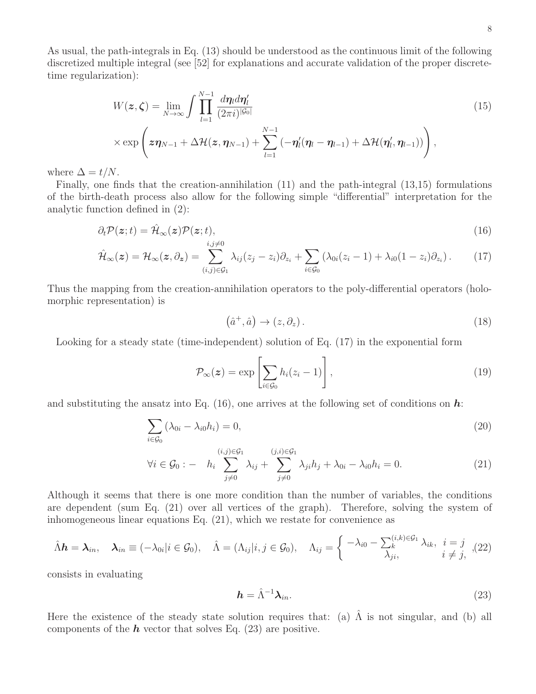As usual, the path-integrals in Eq. (13) should be understood as the continuous limit of the following discretized multiple integral (see [52] for explanations and accurate validation of the proper discretetime regularization):

$$
W(z,\zeta) = \lim_{N \to \infty} \int \prod_{l=1}^{N-1} \frac{d\eta_l d\eta_l'}{(2\pi i)^{|\mathcal{G}_0|}}
$$
  
 
$$
\times \exp\left(z\eta_{N-1} + \Delta \mathcal{H}(z,\eta_{N-1}) + \sum_{l=1}^{N-1} \left(-\eta_l'(\eta_l - \eta_{l-1}) + \Delta \mathcal{H}(\eta_l',\eta_{l-1})\right)\right),
$$
 (15)

where  $\Delta = t/N$ .

Finally, one finds that the creation-annihilation (11) and the path-integral (13,15) formulations of the birth-death process also allow for the following simple "differential" interpretation for the analytic function defined in (2):

$$
\partial_t \mathcal{P}(\boldsymbol{z};t) = \hat{\mathcal{H}}_{\infty}(\boldsymbol{z}) \mathcal{P}(\boldsymbol{z};t),\tag{16}
$$

$$
\hat{\mathcal{H}}_{\infty}(z) = \mathcal{H}_{\infty}(z, \partial_z) = \sum_{(i,j) \in \mathcal{G}_1}^{i, j \neq 0} \lambda_{ij} (z_j - z_i) \partial_{z_i} + \sum_{i \in \mathcal{G}_0} (\lambda_{0i}(z_i - 1) + \lambda_{i0}(1 - z_i) \partial_{z_i}). \tag{17}
$$

Thus the mapping from the creation-annihilation operators to the poly-differential operators (holomorphic representation) is

$$
(\hat{a}^+, \hat{a}) \to (z, \partial_z). \tag{18}
$$

Looking for a steady state (time-independent) solution of Eq. (17) in the exponential form

$$
\mathcal{P}_{\infty}(z) = \exp\left[\sum_{i \in \mathcal{G}_0} h_i(z_i - 1)\right],\tag{19}
$$

and substituting the ansatz into Eq.  $(16)$ , one arrives at the following set of conditions on  $h$ :

$$
\sum_{i \in \mathcal{G}_0} (\lambda_{0i} - \lambda_{i0} h_i) = 0,\tag{20}
$$

$$
\forall i \in \mathcal{G}_0: - h_i \sum_{j \neq 0}^{(i,j) \in \mathcal{G}_1} \lambda_{ij} + \sum_{j \neq 0}^{(j,i) \in \mathcal{G}_1} \lambda_{ji} h_j + \lambda_{0i} - \lambda_{i0} h_i = 0.
$$
 (21)

Although it seems that there is one more condition than the number of variables, the conditions are dependent (sum Eq. (21) over all vertices of the graph). Therefore, solving the system of inhomogeneous linear equations Eq.  $(21)$ , which we restate for convenience as

$$
\hat{\Lambda}\boldsymbol{h} = \boldsymbol{\lambda}_{in}, \quad \boldsymbol{\lambda}_{in} \equiv (-\lambda_{0i}|i \in \mathcal{G}_0), \quad \hat{\Lambda} = (\Lambda_{ij}|i, j \in \mathcal{G}_0), \quad \Lambda_{ij} = \begin{cases} -\lambda_{i0} - \sum_{k}^{(i,k)\in\mathcal{G}_1} \lambda_{ik}, & i = j \\ \lambda_{ji}, & i \neq j, \end{cases}, (22)
$$

consists in evaluating

$$
h = \hat{\Lambda}^{-1} \lambda_{in}.
$$
 (23)

Here the existence of the steady state solution requires that: (a)  $\hat{\Lambda}$  is not singular, and (b) all components of the  $h$  vector that solves Eq.  $(23)$  are positive.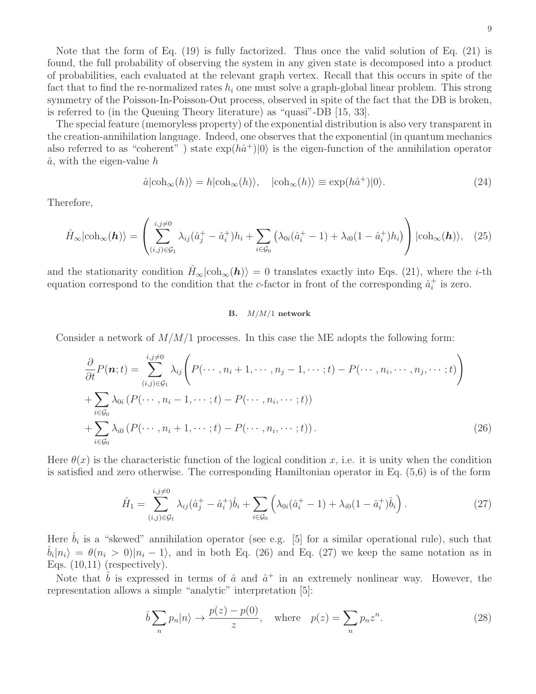The special feature (memoryless property) of the exponential distribution is also very transparent in the creation-annihilation language. Indeed, one observes that the exponential (in quantum mechanics also referred to as "coherent") state  $\exp(h\hat{a}^+)|0\rangle$  is the eigen-function of the annihilation operator  $\hat{a}$ , with the eigen-value h

$$
\hat{a}|\text{coh}_{\infty}(h)\rangle = h|\text{coh}_{\infty}(h)\rangle, \quad |\text{coh}_{\infty}(h)\rangle \equiv \exp(h\hat{a}^+)|0\rangle. \tag{24}
$$

Therefore,

$$
\hat{H}_{\infty}|\text{coh}_{\infty}(\boldsymbol{h})\rangle = \left(\sum_{(i,j)\in\mathcal{G}_1}^{i,j\neq 0} \lambda_{ij}(\hat{a}_j^+ - \hat{a}_i^+)h_i + \sum_{i\in\mathcal{G}_0} \left(\lambda_{0i}(\hat{a}_i^+ - 1) + \lambda_{i0}(1 - \hat{a}_i^+)h_i\right)\right)|\text{coh}_{\infty}(\boldsymbol{h})\rangle, \quad (25)
$$

and the stationarity condition  $\hat{H}_{\infty}|\text{coh}_{\infty}(h)\rangle = 0$  translates exactly into Eqs. (21), where the *i*-th equation correspond to the condition that the c-factor in front of the corresponding  $\hat{a}_i^+$  is zero.

# **B.** M/M/1 **network**

Consider a network of  $M/M/1$  processes. In this case the ME adopts the following form:

$$
\frac{\partial}{\partial t}P(\boldsymbol{n};t) = \sum_{(i,j)\in\mathcal{G}_1}^{i,j\neq 0} \lambda_{ij} \left( P(\cdots, n_i+1,\cdots,n_j-1,\cdots;t) - P(\cdots, n_i,\cdots,n_j,\cdots;t) \right) \n+ \sum_{i\in\mathcal{G}_0} \lambda_{0i} \left( P(\cdots, n_i-1,\cdots;t) - P(\cdots, n_i,\cdots;t) \right) \n+ \sum_{i\in\mathcal{G}_0} \lambda_{i0} \left( P(\cdots, n_i+1,\cdots;t) - P(\cdots, n_i,\cdots;t) \right).
$$
\n(26)

Here  $\theta(x)$  is the characteristic function of the logical condition x, i.e. it is unity when the condition is satisfied and zero otherwise. The corresponding Hamiltonian operator in Eq. (5,6) is of the form

$$
\hat{H}_1 = \sum_{(i,j)\in\mathcal{G}_1}^{i,j\neq 0} \lambda_{ij} (\hat{a}_j^+ - \hat{a}_i^+) \hat{b}_i + \sum_{i\in\mathcal{G}_0} \left( \lambda_{0i} (\hat{a}_i^+ - 1) + \lambda_{i0} (1 - \hat{a}_i^+) \hat{b}_i \right).
$$
\n(27)

Here  $\hat{b}_i$  is a "skewed" annihilation operator (see e.g. [5] for a similar operational rule), such that  $\hat{b}_i|n_i\rangle = \theta(n_i > 0)|n_i - 1\rangle$ , and in both Eq. (26) and Eq. (27) we keep the same notation as in Eqs.  $(10,11)$  (respectively).

Note that  $\hat{b}$  is expressed in terms of  $\hat{a}$  and  $\hat{a}^+$  in an extremely nonlinear way. However, the representation allows a simple "analytic" interpretation [5]:

$$
\hat{b}\sum_{n}p_{n}|n\rangle \rightarrow \frac{p(z)-p(0)}{z}, \quad \text{where} \quad p(z) = \sum_{n}p_{n}z^{n}.
$$
 (28)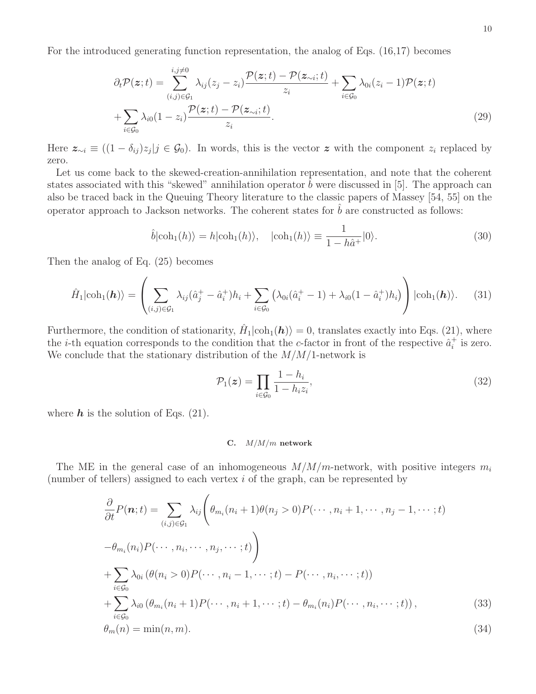For the introduced generating function representation, the analog of Eqs. (16,17) becomes

$$
\partial_t \mathcal{P}(\boldsymbol{z};t) = \sum_{(i,j)\in\mathcal{G}_1}^{i,j\neq 0} \lambda_{ij} (z_j - z_i) \frac{\mathcal{P}(\boldsymbol{z};t) - \mathcal{P}(\boldsymbol{z}_{\sim i};t)}{z_i} + \sum_{i\in\mathcal{G}_0} \lambda_{0i} (z_i - 1) \mathcal{P}(\boldsymbol{z};t) + \sum_{i\in\mathcal{G}_0} \lambda_{i0} (1 - z_i) \frac{\mathcal{P}(\boldsymbol{z};t) - \mathcal{P}(\boldsymbol{z}_{\sim i};t)}{z_i}.
$$
\n(29)

Here  $z_{\sim i} \equiv ((1 - \delta_{ij})z_j | j \in \mathcal{G}_0)$ . In words, this is the vector z with the component  $z_i$  replaced by zero.

Let us come back to the skewed-creation-annihilation representation, and note that the coherent states associated with this "skewed" annihilation operator  $b$  were discussed in [5]. The approach can also be traced back in the Queuing Theory literature to the classic papers of Massey [54, 55] on the operator approach to Jackson networks. The coherent states for  $\hat{b}$  are constructed as follows:

$$
\hat{b}|\cosh_1(h)\rangle = h|\cosh_1(h)\rangle, \quad |\cosh_1(h)\rangle \equiv \frac{1}{1 - h\hat{a}^+}|0\rangle. \tag{30}
$$

Then the analog of Eq. (25) becomes

$$
\hat{H}_1|\text{coh}_1(\boldsymbol{h})\rangle = \left(\sum_{(i,j)\in\mathcal{G}_1} \lambda_{ij} (\hat{a}_j^+ - \hat{a}_i^+) h_i + \sum_{i\in\mathcal{G}_0} \left(\lambda_{0i} (\hat{a}_i^+ - 1) + \lambda_{i0} (1 - \hat{a}_i^+) h_i\right)\right) |\text{coh}_1(\boldsymbol{h})\rangle. \tag{31}
$$

Furthermore, the condition of stationarity,  $\hat{H}_1|\text{coh}_1(\boldsymbol{h})\rangle = 0$ , translates exactly into Eqs. (21), where the *i*-th equation corresponds to the condition that the *c*-factor in front of the respective  $\hat{a}_i^+$  is zero. We conclude that the stationary distribution of the  $M/M/1$ -network is

$$
\mathcal{P}_1(\boldsymbol{z}) = \prod_{i \in \mathcal{G}_0} \frac{1 - h_i}{1 - h_i z_i},\tag{32}
$$

where  $h$  is the solution of Eqs.  $(21)$ .

# **C.** M/M/m **network**

The ME in the general case of an inhomogeneous  $M/M/m$ -network, with positive integers  $m_i$ (number of tellers) assigned to each vertex  $i$  of the graph, can be represented by

$$
\frac{\partial}{\partial t}P(\boldsymbol{n};t) = \sum_{(i,j)\in\mathcal{G}_1} \lambda_{ij} \left( \theta_{m_i}(n_i+1)\theta(n_j>0)P(\cdots,n_i+1,\cdots,n_j-1,\cdots;t) \right)
$$

$$
- \theta_{m_i}(n_i)P(\cdots,n_i,\cdots,n_j,\cdots;t) \right)
$$

$$
+ \sum_{i\in\mathcal{G}_0} \lambda_{0i} \left( \theta(n_i>0)P(\cdots,n_i-1,\cdots;t) - P(\cdots,n_i,\cdots;t) \right)
$$

$$
+ \sum_{i\in\mathcal{G}_0} \lambda_{i0} \left( \theta_{m_i}(n_i+1)P(\cdots,n_i+1,\cdots;t) - \theta_{m_i}(n_i)P(\cdots,n_i,\cdots;t) \right), \qquad (33)
$$

$$
\theta_m(n) = \min(n,m). \qquad (34)
$$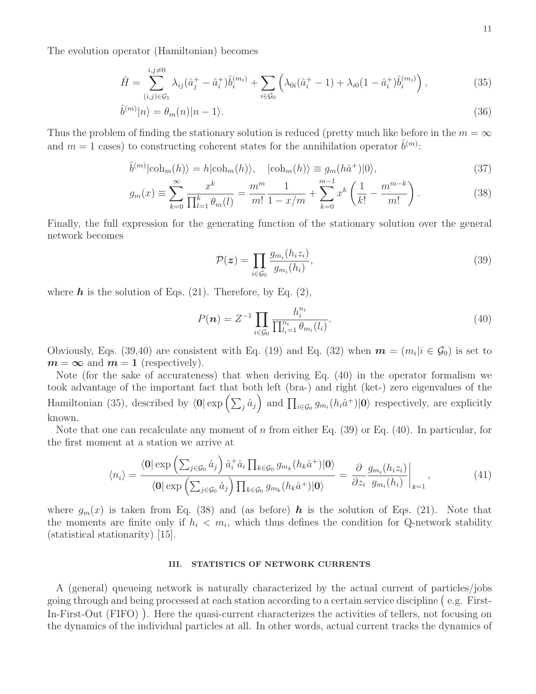The evolution operator (Hamiltonian) becomes

$$
\hat{H} = \sum_{(i,j)\in\mathcal{G}_1}^{i,j\neq 0} \lambda_{ij} (\hat{a}_j^+ - \hat{a}_i^+) \hat{b}_i^{(m_i)} + \sum_{i\in\mathcal{G}_0} \left( \lambda_{0i} (\hat{a}_i^+ - 1) + \lambda_{i0} (1 - \hat{a}_i^+) \hat{b}_i^{(m_i)} \right),
$$
\n(35)

$$
\hat{b}^{(m)}|n\rangle = \theta_m(n)|n-1\rangle.
$$
\n(36)

Thus the problem of finding the stationary solution is reduced (pretty much like before in the  $m = \infty$ and  $m = 1$  cases) to constructing coherent states for the annihilation operator  $\hat{b}^{(m)}$ :

$$
\hat{b}^{(m)}|\text{coh}_{m}(h)\rangle = h|\text{coh}_{m}(h)\rangle, \quad |\text{coh}_{m}(h)\rangle \equiv g_{m}(h\hat{a}^{+})|0\rangle, \tag{37}
$$

$$
g_m(x) \equiv \sum_{k=0}^{\infty} \frac{x^k}{\prod_{l=1}^k \theta_m(l)} = \frac{m^m}{m!} \frac{1}{1 - x/m} + \sum_{k=0}^{m-1} x^k \left(\frac{1}{k!} - \frac{m^{m-k}}{m!}\right).
$$
 (38)

Finally, the full expression for the generating function of the stationary solution over the general network becomes

$$
\mathcal{P}(z) = \prod_{i \in \mathcal{G}_0} \frac{g_{m_i}(h_i z_i)}{g_{m_i}(h_i)},\tag{39}
$$

where  $h$  is the solution of Eqs.  $(21)$ . Therefore, by Eq.  $(2)$ ,

$$
P(n) = Z^{-1} \prod_{i \in \mathcal{G}_0} \frac{h_i^{n_i}}{\prod_{l_i=1}^{n_i} \theta_{m_i}(l_i)}.
$$
\n(40)

Obviously, Eqs. (39,40) are consistent with Eq. (19) and Eq. (32) when  $\mathbf{m} = (m_i|i \in \mathcal{G}_0)$  is set to  $m = \infty$  and  $m = 1$  (respectively).

Note (for the sake of accurateness) that when deriving Eq. (40) in the operator formalism we took advantage of the important fact that both left (bra-) and right (ket-) zero eigenvalues of the Hamiltonian (35), described by  $\langle 0 | \exp \left( \sum_j \hat{a}_j \right)$  and  $\prod_{i \in \mathcal{G}_0} g_{m_i}(h_i \hat{a}^+) |0\rangle$  respectively, are explicitly known.

Note that one can recalculate any moment of *n* from either Eq.  $(39)$  or Eq.  $(40)$ . In particular, for the first moment at a station we arrive at

$$
\langle n_i \rangle = \frac{\langle \mathbf{0} | \exp \left( \sum_{j \in \mathcal{G}_0} \hat{a}_j \right) \hat{a}_i^+ \hat{a}_i \prod_{k \in \mathcal{G}_0} g_{m_k}(h_k \hat{a}^+) | \mathbf{0} \rangle}{\langle \mathbf{0} | \exp \left( \sum_{j \in \mathcal{G}_0} \hat{a}_j \right) \prod_{k \in \mathcal{G}_0} g_{m_k}(h_k \hat{a}^+) | \mathbf{0} \rangle} = \frac{\partial}{\partial z_i} \frac{g_{m_i}(h_i z_i)}{g_{m_i}(h_i)} \bigg|_{\mathbf{z} = 1},\tag{41}
$$

where  $g_m(x)$  is taken from Eq. (38) and (as before) **h** is the solution of Eqs. (21). Note that the moments are finite only if  $h_i < m_i$ , which thus defines the condition for Q-network stability (statistical stationarity) [15].

## **III. STATISTICS OF NETWORK CURRENTS**

A (general) queueing network is naturally characterized by the actual current of particles/jobs going through and being processed at each station according to a certain service discipline  e.g. First-In-First-Out (FIFO) . Here the quasi-current characterizes the activities of tellers, not focusing on the dynamics of the individual particles at all. In other words, actual current tracks the dynamics of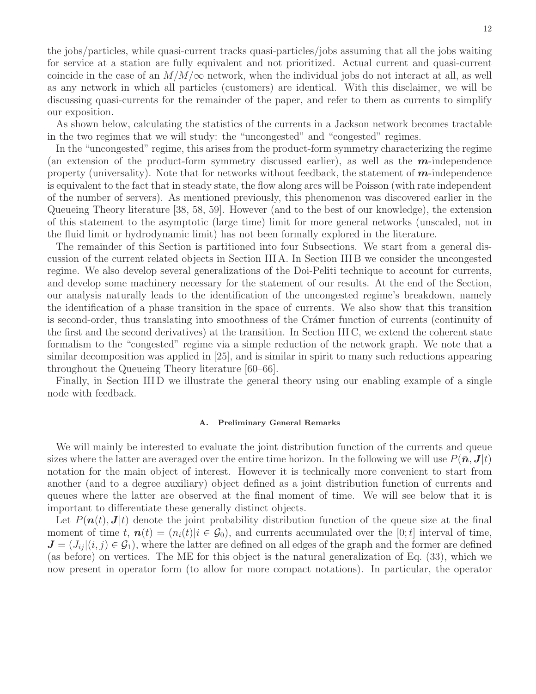the jobs/particles, while quasi-current tracks quasi-particles/jobs assuming that all the jobs waiting for service at a station are fully equivalent and not prioritized. Actual current and quasi-current coincide in the case of an  $M/M/\infty$  network, when the individual jobs do not interact at all, as well as any network in which all particles (customers) are identical. With this disclaimer, we will be discussing quasi-currents for the remainder of the paper, and refer to them as currents to simplify our exposition.

As shown below, calculating the statistics of the currents in a Jackson network becomes tractable in the two regimes that we will study: the "uncongested" and "congested" regimes.

In the "uncongested" regime, this arises from the product-form symmetry characterizing the regime (an extension of the product-form symmetry discussed earlier), as well as the *m*-independence property (universality). Note that for networks without feedback, the statement of *m*-independence is equivalent to the fact that in steady state, the flow along arcs will be Poisson (with rate independent of the number of servers). As mentioned previously, this phenomenon was discovered earlier in the Queueing Theory literature [38, 58, 59]. However (and to the best of our knowledge), the extension of this statement to the asymptotic (large time) limit for more general networks (unscaled, not in the fluid limit or hydrodynamic limit) has not been formally explored in the literature.

The remainder of this Section is partitioned into four Subsections. We start from a general discussion of the current related objects in Section III A. In Section III B we consider the uncongested regime. We also develop several generalizations of the Doi-Peliti technique to account for currents, and develop some machinery necessary for the statement of our results. At the end of the Section, our analysis naturally leads to the identification of the uncongested regime's breakdown, namely the identification of a phase transition in the space of currents. We also show that this transition is second-order, thus translating into smoothness of the Cramer function of currents (continuity of the first and the second derivatives) at the transition. In Section III C, we extend the coherent state formalism to the "congested" regime via a simple reduction of the network graph. We note that a similar decomposition was applied in [25], and is similar in spirit to many such reductions appearing throughout the Queueing Theory literature [60–66].

Finally, in Section III D we illustrate the general theory using our enabling example of a single node with feedback.

# **A. Preliminary General Remarks**

We will mainly be interested to evaluate the joint distribution function of the currents and queue sizes where the latter are averaged over the entire time horizon. In the following we will use  $P(\bar{n}, J|t)$ notation for the main object of interest. However it is technically more convenient to start from another (and to a degree auxiliary) object defined as a joint distribution function of currents and queues where the latter are observed at the final moment of time. We will see below that it is important to differentiate these generally distinct objects.

Let  $P(n(t), J|t)$  denote the joint probability distribution function of the queue size at the final moment of time t,  $\mathbf{n}(t)=(n_i(t)|i\in\mathcal{G}_0)$ , and currents accumulated over the [0;t] interval of time,  $J = (J_{ii} | (i, j) \in \mathcal{G}_1)$ , where the latter are defined on all edges of the graph and the former are defined (as before) on vertices. The ME for this object is the natural generalization of Eq. (33), which we now present in operator form (to allow for more compact notations). In particular, the operator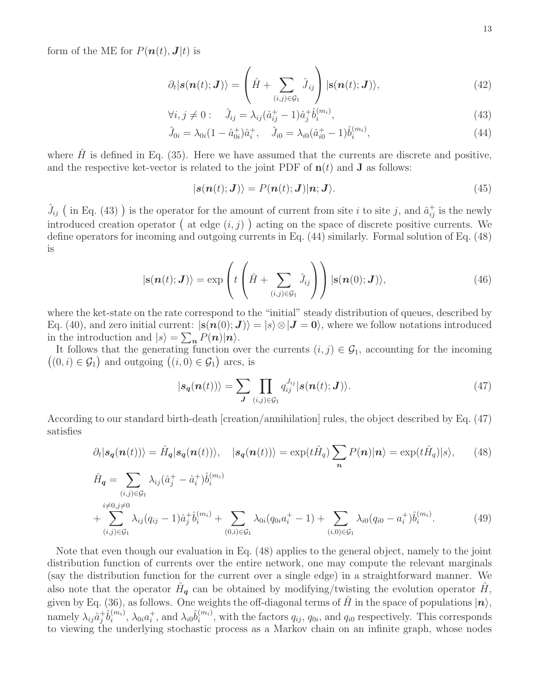form of the ME for  $P(n(t), J|t)$  is

$$
\partial_t |s(\mathbf{n}(t); \mathbf{J})\rangle = \left(\hat{H} + \sum_{(i,j) \in \mathcal{G}_1} \hat{J}_{ij}\right) |s(\mathbf{n}(t); \mathbf{J})\rangle, \tag{42}
$$

$$
\forall i, j \neq 0: \quad \hat{J}_{ij} = \lambda_{ij} (\hat{a}_{ij}^+ - 1) \hat{a}_j^+ \hat{b}_i^{(m_i)}, \tag{43}
$$

$$
\hat{J}_{0i} = \lambda_{0i} (1 - \hat{a}_{0i}^+) \hat{a}_i^+, \quad \hat{J}_{i0} = \lambda_{i0} (\hat{a}_{i0}^+ - 1) \hat{b}_i^{(m_i)}, \tag{44}
$$

where  $\hat{H}$  is defined in Eq. (35). Here we have assumed that the currents are discrete and positive, and the respective ket-vector is related to the joint PDF of  $\mathbf{n}(t)$  and **J** as follows:

$$
|\boldsymbol{s}(\boldsymbol{n}(t); \boldsymbol{J})\rangle = P(\boldsymbol{n}(t); \boldsymbol{J})|\boldsymbol{n}; \boldsymbol{J}\rangle. \tag{45}
$$

 $\hat{J}_{ij}$  (in Eq. (43)) is the operator for the amount of current from site i to site j, and  $\hat{a}_{ij}^{\dagger}$  is the newly introduced creation operator ( at edge  $(i, j)$  ) acting on the space of discrete positive currents. We define operators for incoming and outgoing currents in Eq. (44) similarly. Formal solution of Eq. (48) is

$$
|\mathbf{s}(\boldsymbol{n}(t); \mathbf{J})\rangle = \exp\left(t\left(\hat{H} + \sum_{(i,j)\in\mathcal{G}_1} \hat{J}_{ij}\right)\right) |\mathbf{s}(\boldsymbol{n}(0); \mathbf{J})\rangle, \tag{46}
$$

where the ket-state on the rate correspond to the "initial" steady distribution of queues, described by Eq. (40), and zero initial current:  $|\mathbf{s}(n(0); \mathbf{J})\rangle = |s\rangle \otimes |\mathbf{J} = \mathbf{0}\rangle$ , where we follow notations introduced in the introduction and  $|s\rangle = \sum_{n} P(n)|n\rangle$ .

It follows that the generating function over the currents  $(i, j) \in \mathcal{G}_1$ , accounting for the incoming  $((0, i) \in \mathcal{G}_1)$  and outgoing  $((i, 0) \in \mathcal{G}_1)$  arcs, is

$$
|s_{\mathbf{q}}(\mathbf{n}(t))\rangle = \sum_{\mathbf{J}} \prod_{(i,j)\in\mathcal{G}_1} q_{ij}^{J_{ij}} |s(\mathbf{n}(t); \mathbf{J})\rangle.
$$
 (47)

According to our standard birth-death [creation/annihilation] rules, the object described by Eq. (47) satisfies

$$
\partial_t |s_q(n(t))\rangle = \hat{H}_q |s_q(n(t))\rangle, \quad |s_q(n(t))\rangle = \exp(t\hat{H}_q) \sum_n P(n) |n\rangle = \exp(t\hat{H}_q)|s\rangle, \tag{48}
$$

$$
\hat{H}_q = \sum_{\substack{(i,j)\in\mathcal{G}_1\\i\neq 0, j\neq 0}} \lambda_{ij} (\hat{a}_j^+ - \hat{a}_i^+) \hat{b}_i^{(m_i)}
$$

$$
+\sum_{(i,j)\in\mathcal{G}_1}^{i,j}\lambda_{ij}(q_{ij}-1)\hat{a}_j^+\hat{b}_i^{(m_i)}+\sum_{(0,i)\in\mathcal{G}_1}\lambda_{0i}(q_{0i}a_i^+-1)+\sum_{(i,0)\in\mathcal{G}_1}\lambda_{i0}(q_{i0}-a_i^+)\hat{b}_i^{(m_i)}.
$$
(49)

Note that even though our evaluation in Eq. (48) applies to the general object, namely to the joint distribution function of currents over the entire network, one may compute the relevant marginals (say the distribution function for the current over a single edge) in a straightforward manner. We also note that the operator  $\hat{H}_{q}$  can be obtained by modifying/twisting the evolution operator  $\hat{H}_{q}$ , given by Eq. (36), as follows. One weights the off-diagonal terms of  $\hat{H}$  in the space of populations  $|\boldsymbol{n}\rangle$ , namely  $\lambda_{ij}\hat{a}_j^+\hat{b}_i^{(m_i)}, \lambda_{0i}a_i^+,$  and  $\lambda_{i0}\hat{b}_i^{(m_i)}$ , with the factors  $q_{ij}, q_{0i}$ , and  $q_{i0}$  respectively. This corresponds to viewing the underlying stochastic process as a Markov chain on an infinite graph, whose nodes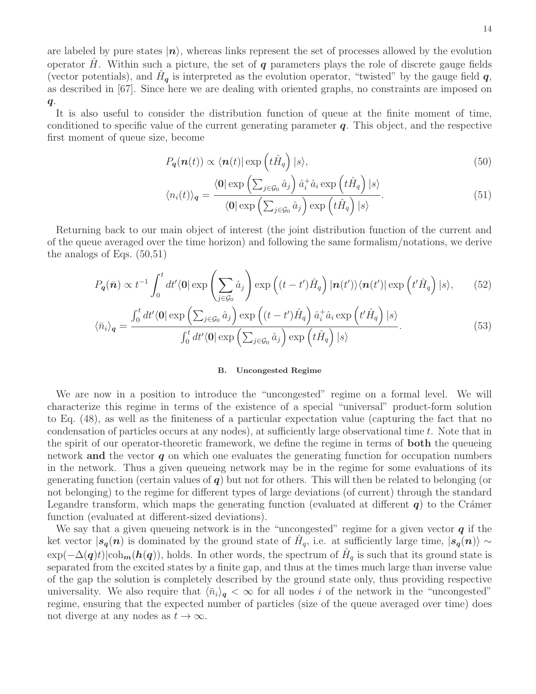are labeled by pure states  $|n\rangle$ , whereas links represent the set of processes allowed by the evolution operator H. Within such a picture, the set of  $q$  parameters plays the role of discrete gauge fields (vector potentials), and  $H_q$  is interpreted as the evolution operator, "twisted" by the gauge field  $q$ , as described in [67]. Since here we are dealing with oriented graphs, no constraints are imposed on *q*.

It is also useful to consider the distribution function of queue at the finite moment of time, conditioned to specific value of the current generating parameter *q*. This object, and the respective first moment of queue size, become

$$
P_{q}(\boldsymbol{n}(t)) \propto \langle \boldsymbol{n}(t)| \exp\left(t\hat{H}_{q}\right)|s\rangle, \tag{50}
$$

$$
\langle n_i(t) \rangle_{\mathbf{q}} = \frac{\langle \mathbf{0} | \exp \left( \sum_{j \in \mathcal{G}_0} \hat{a}_j \right) \hat{a}_i^+ \hat{a}_i \exp \left( t \hat{H}_q \right) | s \rangle}{\langle \mathbf{0} | \exp \left( \sum_{j \in \mathcal{G}_0} \hat{a}_j \right) \exp \left( t \hat{H}_q \right) | s \rangle}.
$$
(51)

Returning back to our main object of interest (the joint distribution function of the current and of the queue averaged over the time horizon) and following the same formalism/notations, we derive the analogs of Eqs. (50,51)

$$
P_{q}(\bar{n}) \propto t^{-1} \int_{0}^{t} dt' \langle 0 | \exp \left( \sum_{j \in \mathcal{G}_{0}} \hat{a}_{j} \right) \exp \left( (t - t') \hat{H}_{q} \right) |n(t')\rangle \langle n(t') | \exp \left( t' \hat{H}_{q} \right) |s\rangle, \tag{52}
$$

$$
\langle \bar{n}_i \rangle_{\mathbf{q}} = \frac{\int_0^t dt' \langle \mathbf{0} | \exp \left( \sum_{j \in \mathcal{G}_0} \hat{a}_j \right) \exp \left( (t - t') \hat{H}_q \right) \hat{a}_i^+ \hat{a}_i \exp \left( t' \hat{H}_q \right) | s \rangle}{\int_0^t dt' \langle \mathbf{0} | \exp \left( \sum_{j \in \mathcal{G}_0} \hat{a}_j \right) \exp \left( t \hat{H}_q \right) | s \rangle}.
$$
(53)

## **B. Uncongested Regime**

We are now in a position to introduce the "uncongested" regime on a formal level. We will characterize this regime in terms of the existence of a special "universal" product-form solution to Eq. (48), as well as the finiteness of a particular expectation value (capturing the fact that no condensation of particles occurs at any nodes), at sufficiently large observational time t. Note that in the spirit of our operator-theoretic framework, we define the regime in terms of **both** the queueing network **and** the vector *q* on which one evaluates the generating function for occupation numbers in the network. Thus a given queueing network may be in the regime for some evaluations of its generating function (certain values of *q*) but not for others. This will then be related to belonging (or not belonging) to the regime for different types of large deviations (of current) through the standard Legandre transform, which maps the generating function (evaluated at different  $q$ ) to the Crámer function (evaluated at different-sized deviations).

We say that a given queueing network is in the "uncongested" regime for a given vector *q* if the ket vector  $|s_q(n)|$  is dominated by the ground state of  $H_q$ , i.e. at sufficiently large time,  $|s_q(n)| \sim$  $\exp(-\Delta(\boldsymbol{q})t)|\cosh_{\boldsymbol{m}}(\boldsymbol{h}(\boldsymbol{q}))$ , holds. In other words, the spectrum of  $H_q$  is such that its ground state is separated from the excited states by a finite gap, and thus at the times much large than inverse value of the gap the solution is completely described by the ground state only, thus providing respective universality. We also require that  $\langle \bar{n}_i \rangle_q < \infty$  for all nodes i of the network in the "uncongested" regime, ensuring that the expected number of particles (size of the queue averaged over time) does not diverge at any nodes as  $t \to \infty$ .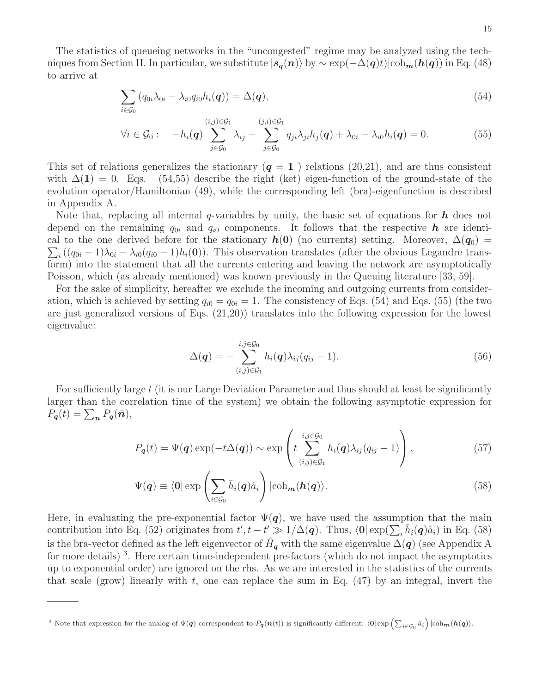The statistics of queueing networks in the "uncongested" regime may be analyzed using the techniques from Section II. In particular, we substitute  $|s_q(n)\rangle$  by  $\sim \exp(-\Delta(q)t)|\text{coh}_{m}(h(q))$  in Eq. (48) to arrive at

$$
\sum_{i \in \mathcal{G}_0} (q_{0i} \lambda_{0i} - \lambda_{i0} q_{i0} h_i(\boldsymbol{q})) = \Delta(\boldsymbol{q}), \qquad (54)
$$

$$
\forall i \in \mathcal{G}_0: \quad -h_i(\mathbf{q}) \sum_{j \in \mathcal{G}_0}^{(i,j) \in \mathcal{G}_1} \lambda_{ij} + \sum_{j \in \mathcal{G}_0}^{(j,i) \in \mathcal{G}_1} q_{ji} \lambda_{ji} h_j(\mathbf{q}) + \lambda_{0i} - \lambda_{i0} h_i(\mathbf{q}) = 0.
$$
 (55)

This set of relations generalizes the stationary  $(q = 1)$  relations (20,21), and are thus consistent with  $\Delta(1) = 0$ . Eqs. (54,55) describe the right (ket) eigen-function of the ground-state of the evolution operator/Hamiltonian (49), while the corresponding left (bra)-eigenfunction is described in Appendix A.

Note that, replacing all internal q-variables by unity, the basic set of equations for *h* does not depend on the remaining  $q_{0i}$  and  $q_{i0}$  components. It follows that the respective  $h$  are identical to the one derived before for the stationary  $h(0)$  (no currents) setting. Moreover,  $\Delta(\boldsymbol{q}_0)$  =  $\sum_i ((q_{0i} - 1)\lambda_{0i} - \lambda_{i0}(q_{i0} - 1)h_i(\mathbf{0}))$ . This observation translates (after the obvious Legandre transform) into the statement that all the currents entering and leaving the network are asymptotically Poisson, which (as already mentioned) was known previously in the Queuing literature [33, 59].

For the sake of simplicity, hereafter we exclude the incoming and outgoing currents from consideration, which is achieved by setting  $q_{i0} = q_{0i} = 1$ . The consistency of Eqs. (54) and Eqs. (55) (the two are just generalized versions of Eqs. (21,20)) translates into the following expression for the lowest eigenvalue:

$$
\Delta(\boldsymbol{q}) = -\sum_{(i,j)\in\mathcal{G}_1}^{i,j\in\mathcal{G}_0} h_i(\boldsymbol{q})\lambda_{ij}(q_{ij}-1). \tag{56}
$$

For sufficiently large  $t$  (it is our Large Deviation Parameter and thus should at least be significantly larger than the correlation time of the system) we obtain the following asymptotic expression for  $P_{q}(t) = \sum_{n} P_{q}(\bar{n}),$ 

$$
P_{\boldsymbol{q}}(t) = \Psi(\boldsymbol{q}) \exp(-t\Delta(\boldsymbol{q})) \sim \exp\left(t \sum_{(i,j)\in\mathcal{G}_1}^{i,j\in\mathcal{G}_0} h_i(\boldsymbol{q}) \lambda_{ij}(q_{ij}-1)\right),\tag{57}
$$

$$
\Psi(q) \equiv \langle 0 | \exp \left( \sum_{i \in \mathcal{G}_0} \bar{h}_i(q) \hat{a}_i \right) | \coth_m(\boldsymbol{h}(q)). \tag{58}
$$

Here, in evaluating the pre-exponential factor  $\Psi(q)$ , we have used the assumption that the main contribution into Eq. (52) originates from  $t', t - t' \gg 1/\Delta(q)$ . Thus,  $\langle 0 | \exp(\sum_i \bar{h}_i(q)\hat{a}_i) \rangle$  in Eq. (58) is the bra-vector defined as the left eigenvector of  $H_q$  with the same eigenvalue  $\Delta(q)$  (see Appendix A for more details)<sup>3</sup>. Here certain time-independent pre-factors (which do not impact the asymptotics up to exponential order) are ignored on the rhs. As we are interested in the statistics of the currents that scale (grow) linearly with t, one can replace the sum in Eq.  $(47)$  by an integral, invert the

<sup>&</sup>lt;sup>3</sup> Note that expression for the analog of  $\Psi(q)$  correspondent to  $P_q(n(t))$  is significantly different:  $\langle 0 | \exp \left( \sum_{i \in \mathcal{G}_0} \hat{a}_i \right) | \text{coh}_{m}(h(q))$ .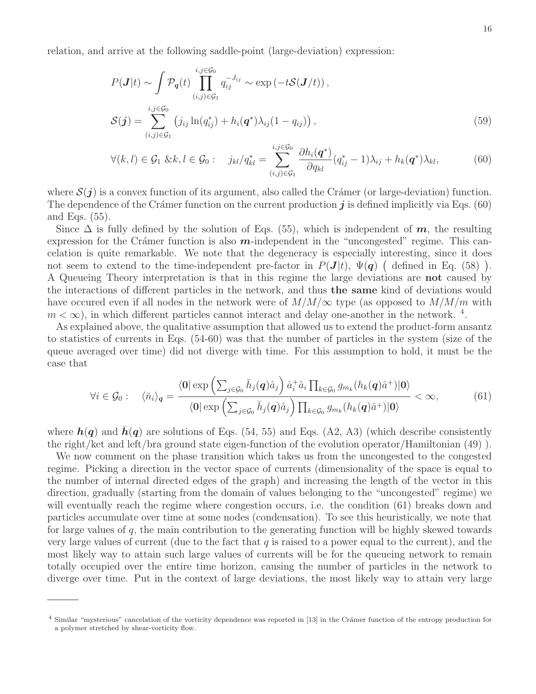relation, and arrive at the following saddle-point (large-deviation) expression:

$$
P(\mathbf{J}|t) \sim \int \mathcal{P}_{\mathbf{q}}(t) \prod_{(i,j)\in\mathcal{G}_1}^{i,j\in\mathcal{G}_0} q_{ij}^{-J_{ij}} \sim \exp\left(-t\mathcal{S}(\mathbf{J}/t)\right),
$$
  

$$
\mathcal{S}(\mathbf{j}) = \sum_{(i,j)\in\mathcal{G}_1}^{i,j\in\mathcal{G}_0} \left(j_{ij}\ln(q_{ij}^*) + h_i(\mathbf{q}^*)\lambda_{ij}(1-q_{ij})\right),
$$
 (59)

$$
\forall (k,l) \in \mathcal{G}_1 \ \& k, l \in \mathcal{G}_0: \quad j_{kl}/q_{kl}^* = \sum_{(i,j) \in \mathcal{G}_1}^{i,j \in \mathcal{G}_0} \frac{\partial h_i(\mathbf{q}^*)}{\partial q_{kl}} (q_{ij}^* - 1) \lambda_{ij} + h_k(\mathbf{q}^*) \lambda_{kl}, \tag{60}
$$

where  $\mathcal{S}(j)$  is a convex function of its argument, also called the Crámer (or large-deviation) function. The dependence of the Crámer function on the current production  $j$  is defined implicitly via Eqs. (60) and Eqs. (55).

Since  $\Delta$  is fully defined by the solution of Eqs. (55), which is independent of  $m$ , the resulting expression for the Crámer function is also  $m$ -independent in the "uncongested" regime. This cancelation is quite remarkable. We note that the degeneracy is especially interesting, since it does not seem to extend to the time-independent pre-factor in  $P(\mathbf{J}|t)$ ,  $\Psi(\mathbf{q})$  (defined in Eq. (58)). A Queueing Theory interpretation is that in this regime the large deviations are **not** caused by the interactions of different particles in the network, and thus **the same** kind of deviations would have occured even if all nodes in the network were of  $M/M/\infty$  type (as opposed to  $M/M/m$  with  $m < \infty$ ), in which different particles cannot interact and delay one-another in the network. <sup>4</sup>.

As explained above, the qualitative assumption that allowed us to extend the product-form ansantz to statistics of currents in Eqs. (54-60) was that the number of particles in the system (size of the queue averaged over time) did not diverge with time. For this assumption to hold, it must be the case that

$$
\forall i \in \mathcal{G}_0: \quad \langle \bar{n}_i \rangle_{\mathbf{q}} = \frac{\langle \mathbf{0} | \exp \left( \sum_{j \in \mathcal{G}_0} \bar{h}_j(\mathbf{q}) \hat{a}_j \right) \hat{a}_i^+ \hat{a}_i \prod_{k \in \mathcal{G}_0} g_{m_k}(h_k(\mathbf{q}) \hat{a}^+)|\mathbf{0}\rangle}{\langle \mathbf{0} | \exp \left( \sum_{j \in \mathcal{G}_0} \bar{h}_j(\mathbf{q}) \hat{a}_j \right) \prod_{k \in \mathcal{G}_0} g_{m_k}(h_k(\mathbf{q}) \hat{a}^+)|\mathbf{0}\rangle} < \infty,
$$
\n(61)

where  $h(q)$  and  $h(q)$  are solutions of Eqs. (54, 55) and Eqs. (A2, A3) (which describe consistently the right/ket and left/bra ground state eigen-function of the evolution operator/Hamiltonian (49) ).

We now comment on the phase transition which takes us from the uncongested to the congested regime. Picking a direction in the vector space of currents (dimensionality of the space is equal to the number of internal directed edges of the graph) and increasing the length of the vector in this direction, gradually (starting from the domain of values belonging to the "uncongested" regime) we will eventually reach the regime where congestion occurs, i.e. the condition  $(61)$  breaks down and particles accumulate over time at some nodes (condensation). To see this heuristically, we note that for large values of q, the main contribution to the generating function will be highly skewed towards very large values of current (due to the fact that  $q$  is raised to a power equal to the current), and the most likely way to attain such large values of currents will be for the queueing network to remain totally occupied over the entire time horizon, causing the number of particles in the network to diverge over time. Put in the context of large deviations, the most likely way to attain very large

 $4$  Similar "mysterious" cancelation of the vorticity dependence was reported in [13] in the Crámer function of the entropy production for a polymer stretched by shear-vorticity flow.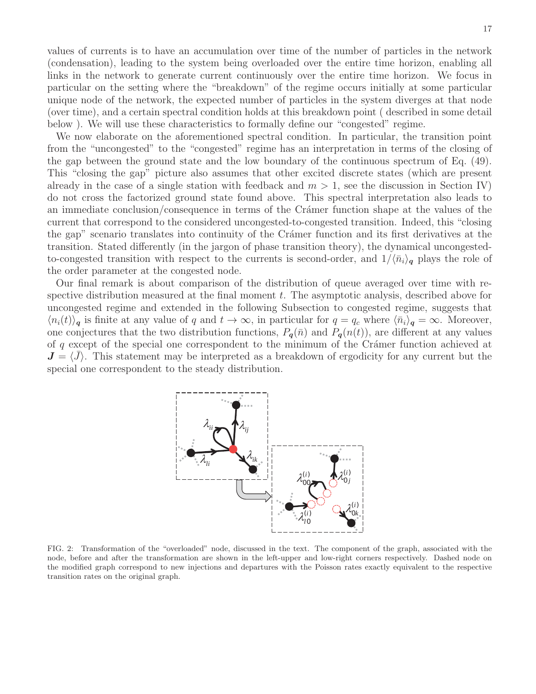values of currents is to have an accumulation over time of the number of particles in the network (condensation), leading to the system being overloaded over the entire time horizon, enabling all links in the network to generate current continuously over the entire time horizon. We focus in particular on the setting where the "breakdown" of the regime occurs initially at some particular unique node of the network, the expected number of particles in the system diverges at that node (over time), and a certain spectral condition holds at this breakdown point ( described in some detail below ). We will use these characteristics to formally define our "congested" regime.

We now elaborate on the aforementioned spectral condition. In particular, the transition point from the "uncongested" to the "congested" regime has an interpretation in terms of the closing of the gap between the ground state and the low boundary of the continuous spectrum of Eq. (49). This "closing the gap" picture also assumes that other excited discrete states (which are present already in the case of a single station with feedback and  $m > 1$ , see the discussion in Section IV) do not cross the factorized ground state found above. This spectral interpretation also leads to an immediate conclusion/consequence in terms of the Cramer function shape at the values of the current that correspond to the considered uncongested-to-congested transition. Indeed, this "closing the gap" scenario translates into continuity of the Cramer function and its first derivatives at the transition. Stated differently (in the jargon of phase transition theory), the dynamical uncongestedto-congested transition with respect to the currents is second-order, and  $1/\langle \bar{n}_i \rangle_q$  plays the role of the order parameter at the congested node.

Our final remark is about comparison of the distribution of queue averaged over time with respective distribution measured at the final moment  $t$ . The asymptotic analysis, described above for uncongested regime and extended in the following Subsection to congested regime, suggests that  $\langle n_i(t) \rangle_q$  is finite at any value of q and  $t \to \infty$ , in particular for  $q = q_c$  where  $\langle \bar{n}_i \rangle_q = \infty$ . Moreover, one conjectures that the two distribution functions,  $P_q(\bar{n})$  and  $P_q(n(t))$ , are different at any values of  $q$  except of the special one correspondent to the minimum of the Cramer function achieved at  $J = \langle J \rangle$ . This statement may be interpreted as a breakdown of ergodicity for any current but the special one correspondent to the steady distribution.



FIG. 2: Transformation of the "overloaded" node, discussed in the text. The component of the graph, associated with the node, before and after the transformation are shown in the left-upper and low-right corners respectively. Dashed node on the modified graph correspond to new injections and departures with the Poisson rates exactly equivalent to the respective transition rates on the original graph.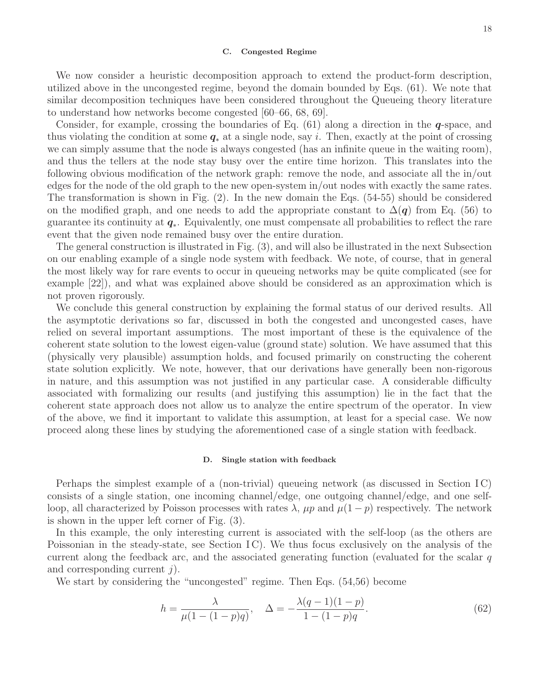#### **C. Congested Regime**

We now consider a heuristic decomposition approach to extend the product-form description, utilized above in the uncongested regime, beyond the domain bounded by Eqs. (61). We note that similar decomposition techniques have been considered throughout the Queueing theory literature to understand how networks become congested [60–66, 68, 69].

Consider, for example, crossing the boundaries of Eq. (61) along a direction in the *q*-space, and thus violating the condition at some *q*<sup>∗</sup> at a single node, say i. Then, exactly at the point of crossing we can simply assume that the node is always congested (has an infinite queue in the waiting room), and thus the tellers at the node stay busy over the entire time horizon. This translates into the following obvious modification of the network graph: remove the node, and associate all the in/out edges for the node of the old graph to the new open-system in/out nodes with exactly the same rates. The transformation is shown in Fig. (2). In the new domain the Eqs. (54-55) should be considered on the modified graph, and one needs to add the appropriate constant to  $\Delta(\boldsymbol{q})$  from Eq. (56) to guarantee its continuity at *q*∗. Equivalently, one must compensate all probabilities to reflect the rare event that the given node remained busy over the entire duration.

The general construction is illustrated in Fig. (3), and will also be illustrated in the next Subsection on our enabling example of a single node system with feedback. We note, of course, that in general the most likely way for rare events to occur in queueing networks may be quite complicated (see for example [22]), and what was explained above should be considered as an approximation which is not proven rigorously.

We conclude this general construction by explaining the formal status of our derived results. All the asymptotic derivations so far, discussed in both the congested and uncongested cases, have relied on several important assumptions. The most important of these is the equivalence of the coherent state solution to the lowest eigen-value (ground state) solution. We have assumed that this (physically very plausible) assumption holds, and focused primarily on constructing the coherent state solution explicitly. We note, however, that our derivations have generally been non-rigorous in nature, and this assumption was not justified in any particular case. A considerable difficulty associated with formalizing our results (and justifying this assumption) lie in the fact that the coherent state approach does not allow us to analyze the entire spectrum of the operator. In view of the above, we find it important to validate this assumption, at least for a special case. We now proceed along these lines by studying the aforementioned case of a single station with feedback.

#### **D. Single station with feedback**

Perhaps the simplest example of a (non-trivial) queueing network (as discussed in Section IC) consists of a single station, one incoming channel/edge, one outgoing channel/edge, and one selfloop, all characterized by Poisson processes with rates  $\lambda$ ,  $\mu p$  and  $\mu(1-p)$  respectively. The network is shown in the upper left corner of Fig. (3).

In this example, the only interesting current is associated with the self-loop (as the others are Poissonian in the steady-state, see Section IC). We thus focus exclusively on the analysis of the current along the feedback arc, and the associated generating function (evaluated for the scalar q and corresponding current  $i$ ).

We start by considering the "uncongested" regime. Then Eqs. (54,56) become

$$
h = \frac{\lambda}{\mu(1 - (1 - p)q)}, \quad \Delta = -\frac{\lambda(q - 1)(1 - p)}{1 - (1 - p)q}.
$$
\n(62)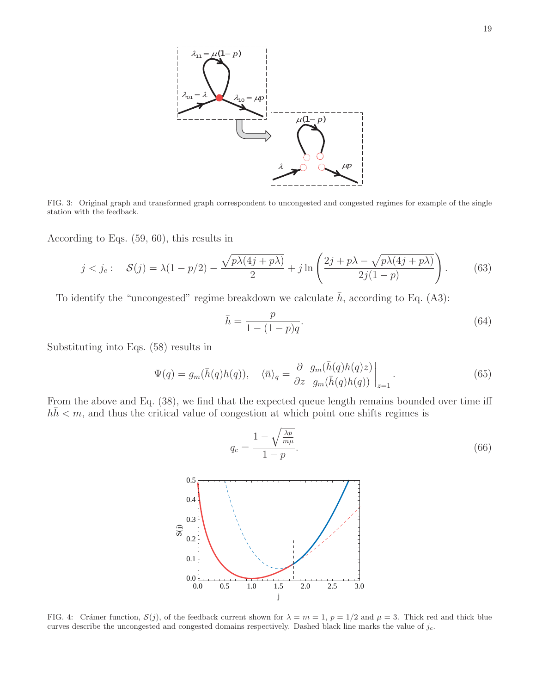

FIG. 3: Original graph and transformed graph correspondent to uncongested and congested regimes for example of the single station with the feedback.

According to Eqs. (59, 60), this results in

$$
j < j_c: \quad \mathcal{S}(j) = \lambda(1 - p/2) - \frac{\sqrt{p\lambda(4j + p\lambda)}}{2} + j\ln\left(\frac{2j + p\lambda - \sqrt{p\lambda(4j + p\lambda)}}{2j(1 - p)}\right). \tag{63}
$$

To identify the "uncongested" regime breakdown we calculate  $\bar{h}$ , according to Eq. (A3):

$$
\bar{h} = \frac{p}{1 - (1 - p)q}.\tag{64}
$$

Substituting into Eqs. (58) results in

$$
\Psi(q) = g_m(\bar{h}(q)h(q)), \quad \langle \bar{n} \rangle_q = \frac{\partial}{\partial z} \left. \frac{g_m(\bar{h}(q)h(q)z)}{g_m(\bar{h}(q)h(q))} \right|_{z=1}.
$$
\n(65)

From the above and Eq. (38), we find that the expected queue length remains bounded over time iff  $hh < m$ , and thus the critical value of congestion at which point one shifts regimes is

$$
q_c = \frac{1 - \sqrt{\frac{\lambda p}{m\mu}}}{1 - p}.\tag{66}
$$



FIG. 4: Crámer function,  $S(j)$ , of the feedback current shown for  $\lambda = m = 1$ ,  $p = 1/2$  and  $\mu = 3$ . Thick red and thick blue curves describe the uncongested and congested domains respectively. Dashed black line marks the value of  $j_c$ .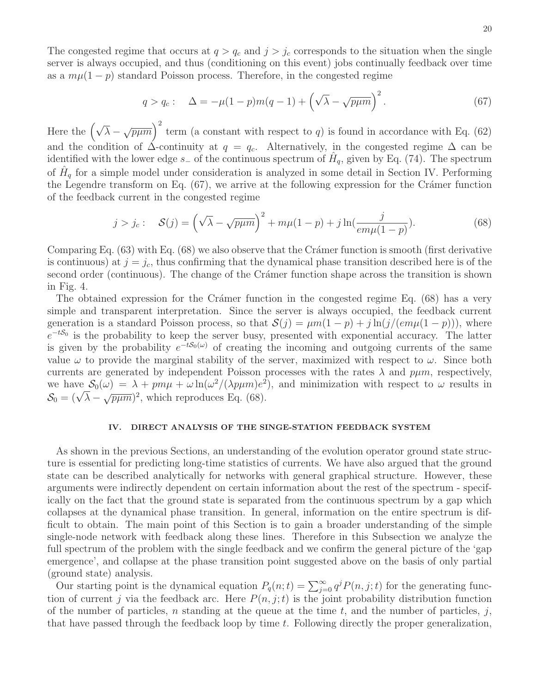The congested regime that occurs at  $q>q_c$  and  $j>j_c$  corresponds to the situation when the single server is always occupied, and thus (conditioning on this event) jobs continually feedback over time as a  $m\mu(1-p)$  standard Poisson process. Therefore, in the congested regime

$$
q > q_c: \quad \Delta = -\mu(1-p)m(q-1) + \left(\sqrt{\lambda} - \sqrt{p\mu m}\right)^2. \tag{67}
$$

Here the  $(\sqrt{\lambda} - \sqrt{p\mu m})^2$  term (a constant with respect to q) is found in accordance with Eq. (62) and the condition of  $\Delta$ -continuity at  $q = q_c$ . Alternatively, in the congested regime  $\Delta$  can be identified with the lower edge s− of the continuous spectrum of  $H<sub>q</sub>$ , given by Eq. (74). The spectrum of  $H_q$  for a simple model under consideration is analyzed in some detail in Section IV. Performing the Legendre transform on Eq.  $(67)$ , we arrive at the following expression for the Cramer function of the feedback current in the congested regime

$$
j > j_c: \quad \mathcal{S}(j) = \left(\sqrt{\lambda} - \sqrt{p\mu m}\right)^2 + m\mu(1-p) + j\ln\left(\frac{j}{em\mu(1-p)}\right). \tag{68}
$$

Comparing Eq.  $(63)$  with Eq.  $(68)$  we also observe that the Crámer function is smooth (first derivative is continuous) at  $j = j_c$ , thus confirming that the dynamical phase transition described here is of the second order (continuous). The change of the Cramer function shape across the transition is shown in Fig. 4.

The obtained expression for the Crámer function in the congested regime Eq. (68) has a very simple and transparent interpretation. Since the server is always occupied, the feedback current generation is a standard Poisson process, so that  $\mathcal{S}(j) = \mu m(1-p) + j \ln(j/(em\mu(1-p)))$ , where  $e^{-tS_0}$  is the probability to keep the server busy, presented with exponential accuracy. The latter is given by the probability  $e^{-tS_0(\omega)}$  of creating the incoming and outgoing currents of the same value  $\omega$  to provide the marginal stability of the server, maximized with respect to  $\omega$ . Since both currents are generated by independent Poisson processes with the rates  $\lambda$  and  $p\mu m$ , respectively, we have  $S_0(\omega) = \lambda + p m \mu + \omega \ln(\omega^2/(\lambda p \mu m)e^2)$ , and minimization with respect to  $\omega$  results in  $S_0 = (\sqrt{\lambda} - \sqrt{p\mu m})^2$ , which reproduces Eq. (68).

### **IV. DIRECT ANALYSIS OF THE SINGE-STATION FEEDBACK SYSTEM**

As shown in the previous Sections, an understanding of the evolution operator ground state structure is essential for predicting long-time statistics of currents. We have also argued that the ground state can be described analytically for networks with general graphical structure. However, these arguments were indirectly dependent on certain information about the rest of the spectrum - specifically on the fact that the ground state is separated from the continuous spectrum by a gap which collapses at the dynamical phase transition. In general, information on the entire spectrum is difficult to obtain. The main point of this Section is to gain a broader understanding of the simple single-node network with feedback along these lines. Therefore in this Subsection we analyze the full spectrum of the problem with the single feedback and we confirm the general picture of the 'gap emergence', and collapse at the phase transition point suggested above on the basis of only partial (ground state) analysis.

Our starting point is the dynamical equation  $P_q(n;t) = \sum_{j=0}^{\infty} q^j P(n,j;t)$  for the generating function of current j via the feedback arc. Here  $P(n, j; t)$  is the joint probability distribution function of the number of particles, n standing at the queue at the time  $t$ , and the number of particles, j, that have passed through the feedback loop by time  $t$ . Following directly the proper generalization,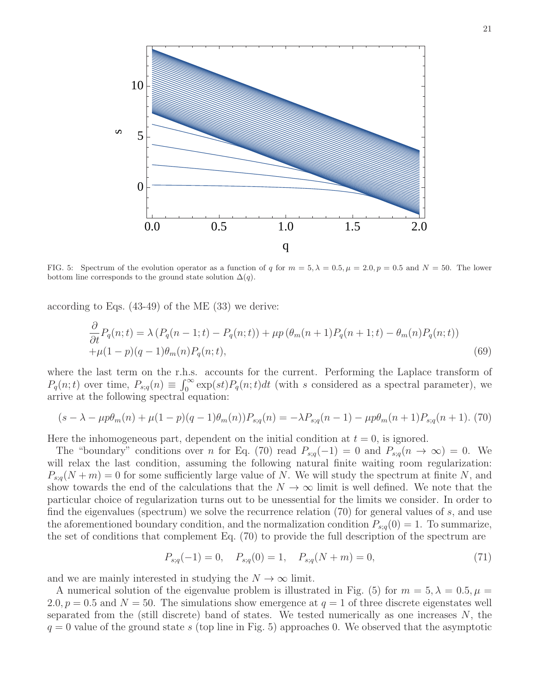

FIG. 5: Spectrum of the evolution operator as a function of q for  $m = 5, \lambda = 0.5, \mu = 2.0, p = 0.5$  and  $N = 50$ . The lower bottom line corresponds to the ground state solution  $\Delta(q)$ .

according to Eqs. (43-49) of the ME (33) we derive:

$$
\frac{\partial}{\partial t}P_q(n;t) = \lambda (P_q(n-1;t) - P_q(n;t)) + \mu p (\theta_m(n+1)P_q(n+1;t) - \theta_m(n)P_q(n;t)) + \mu(1-p)(q-1)\theta_m(n)P_q(n;t),
$$
\n(69)

where the last term on the r.h.s. accounts for the current. Performing the Laplace transform of  $P_q(n;t)$  over time,  $P_{s,q}(n) \equiv \int_0^\infty \exp(st) P_q(n;t)dt$  (with s considered as a spectral parameter), we arrive at the following spectral equation:

$$
(s - \lambda - \mu p \theta_m(n) + \mu (1 - p)(q - 1)\theta_m(n)) P_{s;q}(n) = -\lambda P_{s;q}(n - 1) - \mu p \theta_m(n + 1) P_{s;q}(n + 1). \tag{70}
$$

Here the inhomogeneous part, dependent on the initial condition at  $t = 0$ , is ignored.

The "boundary" conditions over n for Eq. (70) read  $P_{s;q}(-1) = 0$  and  $P_{s;q}(n \to \infty) = 0$ . We will relax the last condition, assuming the following natural finite waiting room regularization:  $P_{s;q}(N+m) = 0$  for some sufficiently large value of N. We will study the spectrum at finite N, and show towards the end of the calculations that the  $N \to \infty$  limit is well defined. We note that the particular choice of regularization turns out to be unessential for the limits we consider. In order to find the eigenvalues (spectrum) we solve the recurrence relation  $(70)$  for general values of s, and use the aforementioned boundary condition, and the normalization condition  $P_{s,q}(0) = 1$ . To summarize, the set of conditions that complement Eq. (70) to provide the full description of the spectrum are

$$
P_{s;q}(-1) = 0, \quad P_{s;q}(0) = 1, \quad P_{s;q}(N+m) = 0,
$$
\n(71)

and we are mainly interested in studying the  $N \to \infty$  limit.

A numerical solution of the eigenvalue problem is illustrated in Fig. (5) for  $m = 5, \lambda = 0.5, \mu =$  $2.0, p = 0.5$  and  $N = 50$ . The simulations show emergence at  $q = 1$  of three discrete eigenstates well separated from the (still discrete) band of states. We tested numerically as one increases  $N$ , the  $q = 0$  value of the ground state s (top line in Fig. 5) approaches 0. We observed that the asymptotic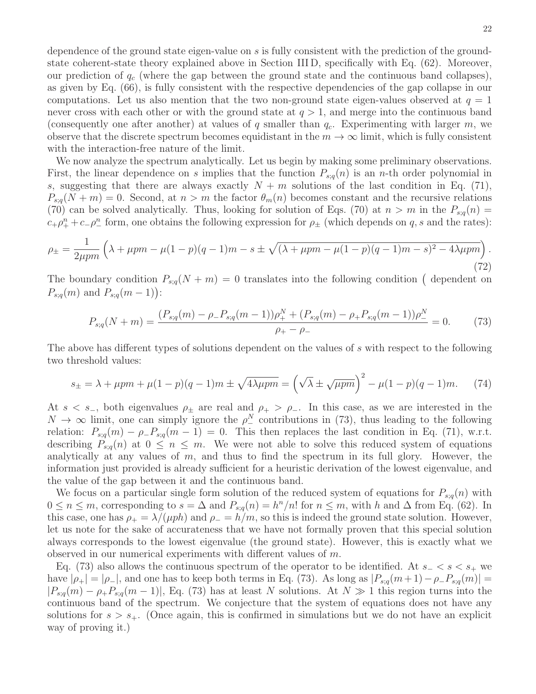dependence of the ground state eigen-value on s is fully consistent with the prediction of the groundstate coherent-state theory explained above in Section III D, specifically with Eq. (62). Moreover, our prediction of  $q_c$  (where the gap between the ground state and the continuous band collapses), as given by Eq. (66), is fully consistent with the respective dependencies of the gap collapse in our computations. Let us also mention that the two non-ground state eigen-values observed at  $q = 1$ never cross with each other or with the ground state at  $q > 1$ , and merge into the continuous band (consequently one after another) at values of q smaller than  $q_c$ . Experimenting with larger m, we observe that the discrete spectrum becomes equidistant in the  $m \to \infty$  limit, which is fully consistent with the interaction-free nature of the limit.

We now analyze the spectrum analytically. Let us begin by making some preliminary observations. First, the linear dependence on s implies that the function  $P_{s;q}(n)$  is an n-th order polynomial in s, suggesting that there are always exactly  $N + m$  solutions of the last condition in Eq. (71),  $P_{s,a}(N+m) = 0$ . Second, at  $n > m$  the factor  $\theta_m(n)$  becomes constant and the recursive relations (70) can be solved analytically. Thus, looking for solution of Eqs. (70) at  $n > m$  in the  $P_{s;q}(n) =$  $c_+\rho_+^n + c_-\rho_-^n$  form, one obtains the following expression for  $\rho_\pm$  (which depends on q, s and the rates):

$$
\rho_{\pm} = \frac{1}{2\mu pm} \left( \lambda + \mu pm - \mu (1 - p)(q - 1)m - s \pm \sqrt{(\lambda + \mu pm - \mu (1 - p)(q - 1)m - s)^2 - 4\lambda \mu pm} \right).
$$
\n(72)

The boundary condition  $P_{s;q}(N+m) = 0$  translates into the following condition (dependent on  $P_{s;q}(m)$  and  $P_{s;q}(m-1)$ :

$$
P_{s;q}(N+m) = \frac{(P_{s;q}(m) - \rho_- P_{s;q}(m-1))\rho_+^N + (P_{s;q}(m) - \rho_+ P_{s;q}(m-1))\rho_-^N}{\rho_+ - \rho_-} = 0.
$$
 (73)

The above has different types of solutions dependent on the values of s with respect to the following two threshold values:

$$
s_{\pm} = \lambda + \mu pm + \mu (1 - p)(q - 1)m \pm \sqrt{4\lambda\mu pm} = \left(\sqrt{\lambda} \pm \sqrt{\mu pm}\right)^2 - \mu (1 - p)(q - 1)m. \tag{74}
$$

At  $s < s_-,$  both eigenvalues  $\rho_{\pm}$  are real and  $\rho_{+} > \rho_{-}.$  In this case, as we are interested in the  $N \to \infty$  limit, one can simply ignore the  $\rho^N$  contributions in (73), thus leading to the following relation:  $P_{s;q}(m) - \rho_- P_{s;q}(m-1) = 0$ . This then replaces the last condition in Eq. (71), w.r.t. describing  $P_{s;q}(n)$  at  $0 \leq n \leq m$ . We were not able to solve this reduced system of equations analytically at any values of  $m$ , and thus to find the spectrum in its full glory. However, the information just provided is already sufficient for a heuristic derivation of the lowest eigenvalue, and the value of the gap between it and the continuous band.

We focus on a particular single form solution of the reduced system of equations for  $P_{s;q}(n)$  with  $0 \le n \le m$ , corresponding to  $s = \Delta$  and  $P_{s;q}(n) = h^n/n!$  for  $n \le m$ , with h and  $\Delta$  from Eq. (62). In this case, one has  $\rho_+ = \lambda/(\mu ph)$  and  $\rho_- = h/m$ , so this is indeed the ground state solution. However, let us note for the sake of accurateness that we have not formally proven that this special solution always corresponds to the lowest eigenvalue (the ground state). However, this is exactly what we observed in our numerical experiments with different values of m.

Eq. (73) also allows the continuous spectrum of the operator to be identified. At  $s_-\lt s\lt s_+$  we have  $|\rho_+| = |\rho_-|$ , and one has to keep both terms in Eq. (73). As long as  $|P_{s,q}(m+1) - \rho_- P_{s,q}(m)| =$  $|P_{s;q}(m) - \rho_+ P_{s;q}(m-1)|$ , Eq. (73) has at least N solutions. At  $N \gg 1$  this region turns into the continuous band of the spectrum. We conjecture that the system of equations does not have any solutions for  $s > s_+$ . (Once again, this is confirmed in simulations but we do not have an explicit way of proving it.)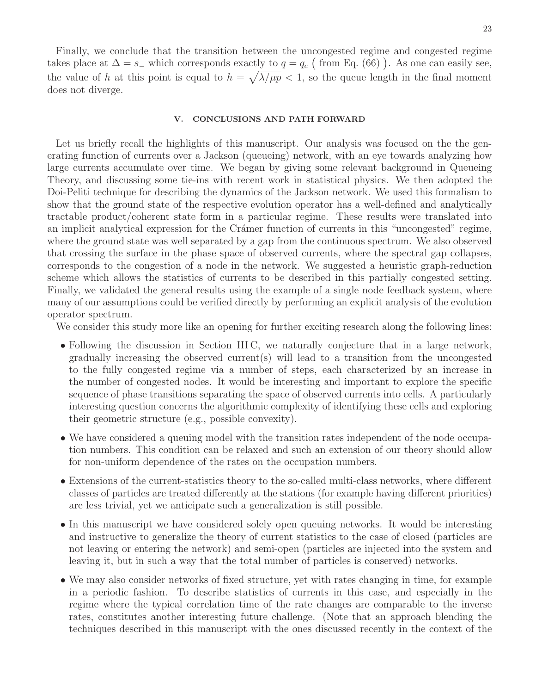Finally, we conclude that the transition between the uncongested regime and congested regime takes place at  $\Delta = s_-$  which corresponds exactly to  $q = q_c$  (from Eq. (66)). As one can easily see, the value of h at this point is equal to  $h = \sqrt{\lambda/\mu p} < 1$ , so the queue length in the final moment does not diverge.

## **V. CONCLUSIONS AND PATH FORWARD**

Let us briefly recall the highlights of this manuscript. Our analysis was focused on the the generating function of currents over a Jackson (queueing) network, with an eye towards analyzing how large currents accumulate over time. We began by giving some relevant background in Queueing Theory, and discussing some tie-ins with recent work in statistical physics. We then adopted the Doi-Peliti technique for describing the dynamics of the Jackson network. We used this formalism to show that the ground state of the respective evolution operator has a well-defined and analytically tractable product/coherent state form in a particular regime. These results were translated into an implicit analytical expression for the Cramer function of currents in this "uncongested" regime, where the ground state was well separated by a gap from the continuous spectrum. We also observed that crossing the surface in the phase space of observed currents, where the spectral gap collapses, corresponds to the congestion of a node in the network. We suggested a heuristic graph-reduction scheme which allows the statistics of currents to be described in this partially congested setting. Finally, we validated the general results using the example of a single node feedback system, where many of our assumptions could be verified directly by performing an explicit analysis of the evolution operator spectrum.

We consider this study more like an opening for further exciting research along the following lines:

- Following the discussion in Section III C, we naturally conjecture that in a large network, gradually increasing the observed current(s) will lead to a transition from the uncongested to the fully congested regime via a number of steps, each characterized by an increase in the number of congested nodes. It would be interesting and important to explore the specific sequence of phase transitions separating the space of observed currents into cells. A particularly interesting question concerns the algorithmic complexity of identifying these cells and exploring their geometric structure (e.g., possible convexity).
- We have considered a queuing model with the transition rates independent of the node occupation numbers. This condition can be relaxed and such an extension of our theory should allow for non-uniform dependence of the rates on the occupation numbers.
- Extensions of the current-statistics theory to the so-called multi-class networks, where different classes of particles are treated differently at the stations (for example having different priorities) are less trivial, yet we anticipate such a generalization is still possible.
- In this manuscript we have considered solely open queuing networks. It would be interesting and instructive to generalize the theory of current statistics to the case of closed (particles are not leaving or entering the network) and semi-open (particles are injected into the system and leaving it, but in such a way that the total number of particles is conserved) networks.
- We may also consider networks of fixed structure, yet with rates changing in time, for example in a periodic fashion. To describe statistics of currents in this case, and especially in the regime where the typical correlation time of the rate changes are comparable to the inverse rates, constitutes another interesting future challenge. (Note that an approach blending the techniques described in this manuscript with the ones discussed recently in the context of the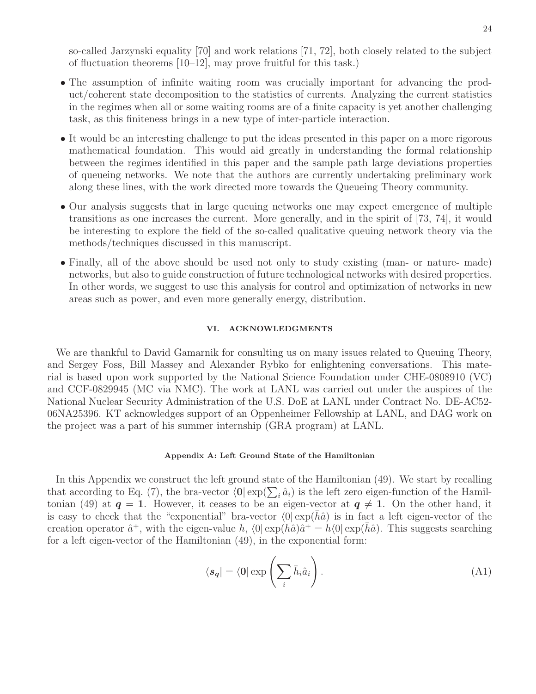so-called Jarzynski equality [70] and work relations [71, 72], both closely related to the subject of fluctuation theorems [10–12], may prove fruitful for this task.)

- The assumption of infinite waiting room was crucially important for advancing the product/coherent state decomposition to the statistics of currents. Analyzing the current statistics in the regimes when all or some waiting rooms are of a finite capacity is yet another challenging task, as this finiteness brings in a new type of inter-particle interaction.
- It would be an interesting challenge to put the ideas presented in this paper on a more rigorous mathematical foundation. This would aid greatly in understanding the formal relationship between the regimes identified in this paper and the sample path large deviations properties of queueing networks. We note that the authors are currently undertaking preliminary work along these lines, with the work directed more towards the Queueing Theory community.
- Our analysis suggests that in large queuing networks one may expect emergence of multiple transitions as one increases the current. More generally, and in the spirit of [73, 74], it would be interesting to explore the field of the so-called qualitative queuing network theory via the methods/techniques discussed in this manuscript.
- Finally, all of the above should be used not only to study existing (man- or nature- made) networks, but also to guide construction of future technological networks with desired properties. In other words, we suggest to use this analysis for control and optimization of networks in new areas such as power, and even more generally energy, distribution.

# **VI. ACKNOWLEDGMENTS**

We are thankful to David Gamarnik for consulting us on many issues related to Queuing Theory, and Sergey Foss, Bill Massey and Alexander Rybko for enlightening conversations. This material is based upon work supported by the National Science Foundation under CHE-0808910 (VC) and CCF-0829945 (MC via NMC). The work at LANL was carried out under the auspices of the National Nuclear Security Administration of the U.S. DoE at LANL under Contract No. DE-AC52- 06NA25396. KT acknowledges support of an Oppenheimer Fellowship at LANL, and DAG work on the project was a part of his summer internship (GRA program) at LANL.

### **Appendix A: Left Ground State of the Hamiltonian**

In this Appendix we construct the left ground state of the Hamiltonian (49). We start by recalling that according to Eq. (7), the bra-vector  $\langle 0 | \exp(\sum_i \hat{a}_i)$  is the left zero eigen-function of the Hamiltonian (49) at  $q = 1$ . However, it ceases to be an eigen-vector at  $q \neq 1$ . On the other hand, it is easy to check that the "exponential" bra-vector  $\langle 0| \exp(h\hat{a})$  is in fact a left eigen-vector of the creation operator  $\hat{a}^+$ , with the eigen-value h,  $\langle 0| \exp(h\hat{a})\hat{a}^+ = h\langle 0| \exp(h\hat{a})\rangle$ . This suggests searching for a left eigen-vector of the Hamiltonian (49), in the exponential form:

$$
\langle \mathbf{s}_q | = \langle 0 | \exp \left( \sum_i \bar{h}_i \hat{a}_i \right). \tag{A1}
$$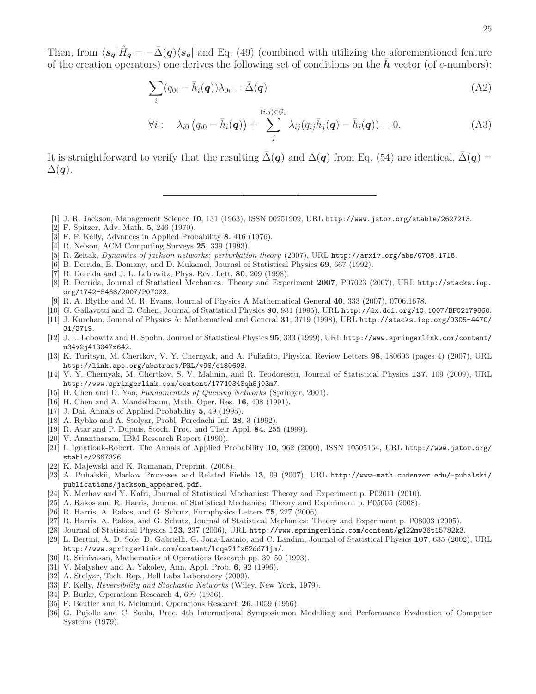Then, from  $\langle s_q | \hat{H}_q = -\bar{\Delta}(q) \langle s_q |$  and Eq. (49) (combined with utilizing the aforementioned feature of the creation operators) one derives the following set of conditions on the  $\bar{h}$  vector (of c-numbers):

$$
\sum_{i} (q_{0i} - \bar{h}_i(\mathbf{q})) \lambda_{0i} = \bar{\Delta}(\mathbf{q}) \tag{A2}
$$

$$
\forall i: \quad \lambda_{i0} \left( q_{i0} - \bar{h}_i(\mathbf{q}) \right) + \sum_{j}^{(i,j) \in \mathcal{G}_1} \lambda_{ij} (q_{ij} \bar{h}_j(\mathbf{q}) - \bar{h}_i(\mathbf{q})) = 0. \tag{A3}
$$

It is straightforward to verify that the resulting  $\bar{\Delta}(\boldsymbol{q})$  and  $\Delta(\boldsymbol{q})$  from Eq. (54) are identical,  $\bar{\Delta}(\boldsymbol{q})$  =  $\Delta(\boldsymbol{q})$ .

- [1] J. R. Jackson, Management Science **10**, 131 (1963), ISSN 00251909, URL http://www.jstor.org/stable/2627213.
- [2] F. Spitzer, Adv. Math. **5**, 246 (1970).
- [3] F. P. Kelly, Advances in Applied Probability **8**, 416 (1976).
- [4] R. Nelson, ACM Computing Surveys **25**, 339 (1993).
- [5] R. Zeitak, Dynamics of jackson networks: perturbation theory (2007), URL http://arxiv.org/abs/0708.1718.
- [6] B. Derrida, E. Domany, and D. Mukamel, Journal of Statistical Physics **69**, 667 (1992).
- [7] B. Derrida and J. L. Lebowitz, Phys. Rev. Lett. **80**, 209 (1998).
- [8] B. Derrida, Journal of Statistical Mechanics: Theory and Experiment **2007**, P07023 (2007), URL http://stacks.iop. org/1742-5468/2007/P07023.
- [9] R. A. Blythe and M. R. Evans, Journal of Physics A Mathematical General **40**, 333 (2007), 0706.1678.
- [10] G. Gallavotti and E. Cohen, Journal of Statistical Physics **80**, 931 (1995), URL http://dx.doi.org/10.1007/BF02179860.
- [11] J. Kurchan, Journal of Physics A: Mathematical and General **31**, 3719 (1998), URL http://stacks.iop.org/0305-4470/ 31/3719.
- [12] J. L. Lebowitz and H. Spohn, Journal of Statistical Physics **95**, 333 (1999), URL http://www.springerlink.com/content/ u34v2j413047x642.
- [13] K. Turitsyn, M. Chertkov, V. Y. Chernyak, and A. Puliafito, Physical Review Letters **98**, 180603 (pages 4) (2007), URL http://link.aps.org/abstract/PRL/v98/e180603.
- [14] V. Y. Chernyak, M. Chertkov, S. V. Malinin, and R. Teodorescu, Journal of Statistical Physics **137**, 109 (2009), URL http://www.springerlink.com/content/17740348qh5j03m7.
- [15] H. Chen and D. Yao, Fundamentals of Queuing Networks (Springer, 2001).
- [16] H. Chen and A. Mandelbaum, Math. Oper. Res. **16**, 408 (1991).
- [17] J. Dai, Annals of Applied Probability **5**, 49 (1995).
- [18] A. Rybko and A. Stolyar, Probl. Peredachi Inf. **28**, 3 (1992).
- [19] R. Atar and P. Dupuis, Stoch. Proc. and Their Appl. **84**, 255 (1999).
- [20] V. Anantharam, IBM Research Report (1990).
- [21] I. Ignatiouk-Robert, The Annals of Applied Probability **10**, 962 (2000), ISSN 10505164, URL http://www.jstor.org/ stable/2667326.
- [22] K. Majewski and K. Ramanan, Preprint. (2008).
- [23] A. Puhalskii, Markov Processes and Related Fields **13**, 99 (2007), URL http://www-math.cudenver.edu/~puhalski/ publications/jackson\_appeared.pdf.
- [24] N. Merhav and Y. Kafri, Journal of Statistical Mechanics: Theory and Experiment p. P02011 (2010).
- [25] A. Rakos and R. Harris, Journal of Statistical Mechanics: Theory and Experiment p. P05005 (2008).
- [26] R. Harris, A. Rakos, and G. Schutz, Europhysics Letters **75**, 227 (2006).
- [27] R. Harris, A. Rakos, and G. Schutz, Journal of Statistical Mechanics: Theory and Experiment p. P08003 (2005).
- [28] Journal of Statistical Physics **123**, 237 (2006), URL http://www.springerlink.com/content/g422mw36t15782k3.
- [29] L. Bertini, A. D. Sole, D. Gabrielli, G. Jona-Lasinio, and C. Landim, Journal of Statistical Physics **107**, 635 (2002), URL http://www.springerlink.com/content/lcqe21fx62dd71jm/.
- [30] R. Srinivasan, Mathematics of Operations Research pp. 39–50 (1993).
- [31] V. Malyshev and A. Yakolev, Ann. Appl. Prob. **6**, 92 (1996).
- [32] A. Stolyar, Tech. Rep., Bell Labs Laboratory (2009).
- [33] F. Kelly, Reversibility and Stochastic Networks (Wiley, New York, 1979).
- [34] P. Burke, Operations Research **4**, 699 (1956).
- [35] F. Beutler and B. Melamud, Operations Research **26**, 1059 (1956).
- [36] G. Pujolle and C. Soula, Proc. 4th International Symposiumon Modelling and Performance Evaluation of Computer Systems (1979).